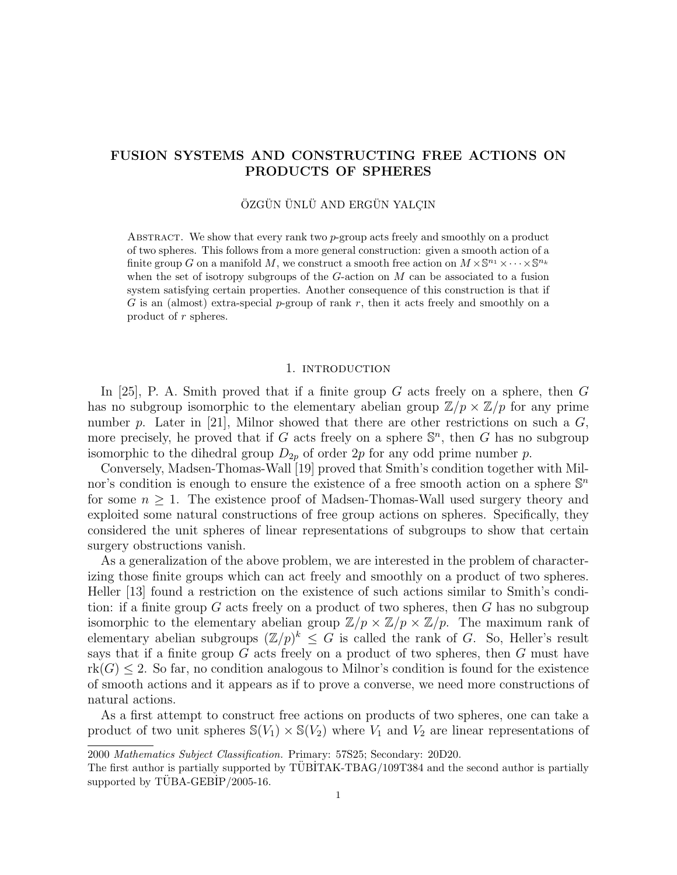# FUSION SYSTEMS AND CONSTRUCTING FREE ACTIONS ON PRODUCTS OF SPHERES

## ÖZGÜN ÜNLÜ AND ERGÜN YALÇIN

ABSTRACT. We show that every rank two  $p$ -group acts freely and smoothly on a product of two spheres. This follows from a more general construction: given a smooth action of a finite group G on a manifold M, we construct a smooth free action on  $M \times \mathbb{S}^{n_1} \times \cdots \times \mathbb{S}^{n_k}$ when the set of isotropy subgroups of the  $G$ -action on  $M$  can be associated to a fusion system satisfying certain properties. Another consequence of this construction is that if G is an (almost) extra-special p-group of rank r, then it acts freely and smoothly on a product of r spheres.

#### 1. introduction

In [25], P. A. Smith proved that if a finite group  $G$  acts freely on a sphere, then  $G$ has no subgroup isomorphic to the elementary abelian group  $\mathbb{Z}/p \times \mathbb{Z}/p$  for any prime number p. Later in [21], Milnor showed that there are other restrictions on such a  $G$ , more precisely, he proved that if G acts freely on a sphere  $\mathbb{S}^n$ , then G has no subgroup isomorphic to the dihedral group  $D_{2p}$  of order  $2p$  for any odd prime number p.

Conversely, Madsen-Thomas-Wall [19] proved that Smith's condition together with Milnor's condition is enough to ensure the existence of a free smooth action on a sphere  $\mathbb{S}^n$ for some  $n \geq 1$ . The existence proof of Madsen-Thomas-Wall used surgery theory and exploited some natural constructions of free group actions on spheres. Specifically, they considered the unit spheres of linear representations of subgroups to show that certain surgery obstructions vanish.

As a generalization of the above problem, we are interested in the problem of characterizing those finite groups which can act freely and smoothly on a product of two spheres. Heller [13] found a restriction on the existence of such actions similar to Smith's condition: if a finite group  $G$  acts freely on a product of two spheres, then  $G$  has no subgroup isomorphic to the elementary abelian group  $\mathbb{Z}/p \times \mathbb{Z}/p \times \mathbb{Z}/p$ . The maximum rank of elementary abelian subgroups  $(\mathbb{Z}/p)^k \leq G$  is called the rank of G. So, Heller's result says that if a finite group  $G$  acts freely on a product of two spheres, then  $G$  must have  $rk(G) \leq 2$ . So far, no condition analogous to Milnor's condition is found for the existence of smooth actions and it appears as if to prove a converse, we need more constructions of natural actions.

As a first attempt to construct free actions on products of two spheres, one can take a product of two unit spheres  $\mathbb{S}(V_1) \times \mathbb{S}(V_2)$  where  $V_1$  and  $V_2$  are linear representations of

<sup>2000</sup> Mathematics Subject Classification. Primary: 57S25; Secondary: 20D20.

The first author is partially supported by TUBITAK-TBAG/109T384 and the second author is partially supported by  $T\overline{UBA-GEBIP}/2005-16$ .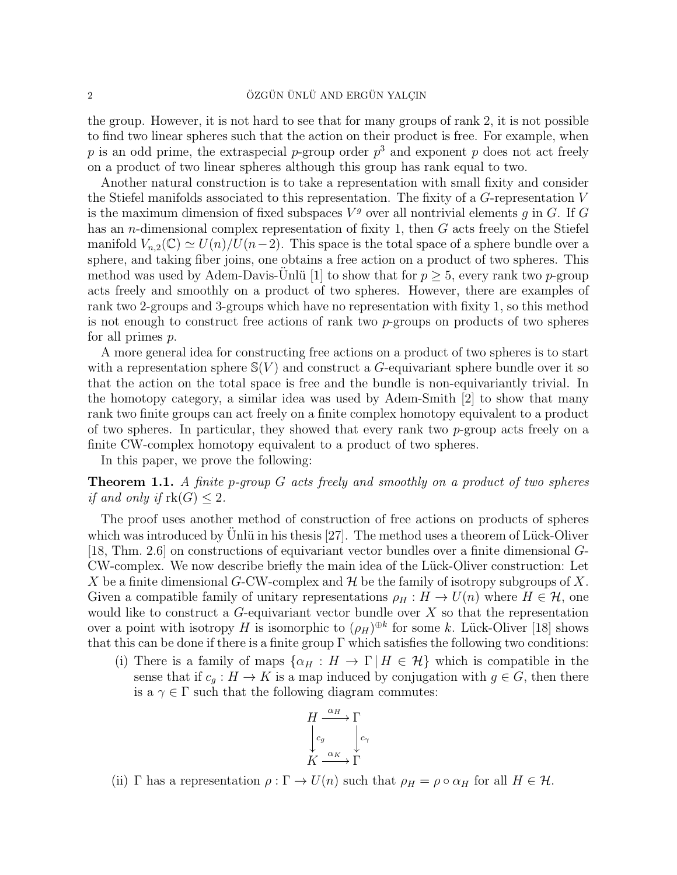the group. However, it is not hard to see that for many groups of rank 2, it is not possible to find two linear spheres such that the action on their product is free. For example, when p is an odd prime, the extraspecial p-group order  $p^3$  and exponent p does not act freely on a product of two linear spheres although this group has rank equal to two.

Another natural construction is to take a representation with small fixity and consider the Stiefel manifolds associated to this representation. The fixity of a G-representation V is the maximum dimension of fixed subspaces  $V<sup>g</sup>$  over all nontrivial elements g in G. If G has an *n*-dimensional complex representation of fixity 1, then  $G$  acts freely on the Stiefel manifold  $V_{n,2}(\mathbb{C}) \simeq U(n)/U(n-2)$ . This space is the total space of a sphere bundle over a sphere, and taking fiber joins, one obtains a free action on a product of two spheres. This method was used by Adem-Davis-Unlü [1] to show that for  $p > 5$ , every rank two p-group acts freely and smoothly on a product of two spheres. However, there are examples of rank two 2-groups and 3-groups which have no representation with fixity 1, so this method is not enough to construct free actions of rank two p-groups on products of two spheres for all primes p.

A more general idea for constructing free actions on a product of two spheres is to start with a representation sphere  $\mathcal{S}(V)$  and construct a G-equivariant sphere bundle over it so that the action on the total space is free and the bundle is non-equivariantly trivial. In the homotopy category, a similar idea was used by Adem-Smith [2] to show that many rank two finite groups can act freely on a finite complex homotopy equivalent to a product of two spheres. In particular, they showed that every rank two  $p$ -group acts freely on a finite CW-complex homotopy equivalent to a product of two spheres.

In this paper, we prove the following:

**Theorem 1.1.** A finite p-group G acts freely and smoothly on a product of two spheres if and only if  $\text{rk}(G) \leq 2$ .

The proof uses another method of construction of free actions on products of spheres which was introduced by Unlü in his thesis  $[27]$ . The method uses a theorem of Lück-Oliver [18, Thm. 2.6] on constructions of equivariant vector bundles over a finite dimensional G-CW-complex. We now describe briefly the main idea of the Lück-Oliver construction: Let X be a finite dimensional G-CW-complex and  $\mathcal H$  be the family of isotropy subgroups of X. Given a compatible family of unitary representations  $\rho_H : H \to U(n)$  where  $H \in \mathcal{H}$ , one would like to construct a  $G$ -equivariant vector bundle over  $X$  so that the representation over a point with isotropy H is isomorphic to  $(\rho_H)^{\oplus k}$  for some k. Lück-Oliver [18] shows that this can be done if there is a finite group  $\Gamma$  which satisfies the following two conditions:

(i) There is a family of maps  $\{\alpha_H : H \to \Gamma \mid H \in \mathcal{H}\}\$  which is compatible in the sense that if  $c_g : H \to K$  is a map induced by conjugation with  $g \in G$ , then there is a  $\gamma \in \Gamma$  such that the following diagram commutes:

$$
H \xrightarrow{\alpha_H} \Gamma
$$
  
\n
$$
\downarrow c_g
$$
  
\n
$$
K \xrightarrow{\alpha_K} \Gamma
$$

(ii) Γ has a representation  $\rho : \Gamma \to U(n)$  such that  $\rho_H = \rho \circ \alpha_H$  for all  $H \in \mathcal{H}$ .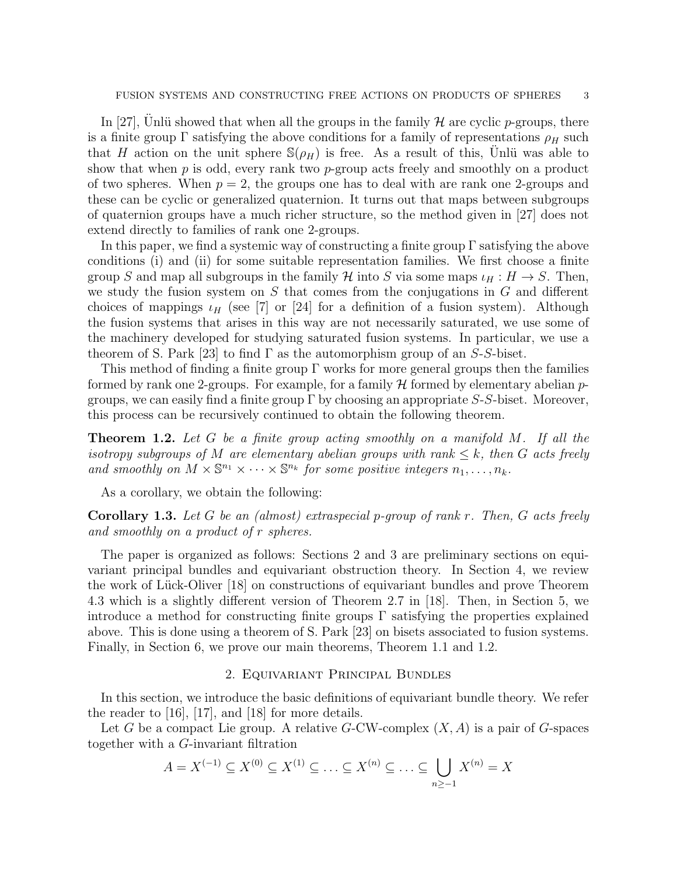In [27], Unlü showed that when all the groups in the family  $\mathcal H$  are cyclic p-groups, there is a finite group  $\Gamma$  satisfying the above conditions for a family of representations  $\rho_H$  such that H action on the unit sphere  $\mathbb{S}(\rho_H)$  is free. As a result of this, Unlü was able to show that when  $p$  is odd, every rank two  $p$ -group acts freely and smoothly on a product of two spheres. When  $p = 2$ , the groups one has to deal with are rank one 2-groups and these can be cyclic or generalized quaternion. It turns out that maps between subgroups of quaternion groups have a much richer structure, so the method given in [27] does not extend directly to families of rank one 2-groups.

In this paper, we find a systemic way of constructing a finite group Γ satisfying the above conditions (i) and (ii) for some suitable representation families. We first choose a finite group S and map all subgroups in the family H into S via some maps  $\iota_H : H \to S$ . Then, we study the fusion system on  $S$  that comes from the conjugations in  $G$  and different choices of mappings  $\iota_H$  (see [7] or [24] for a definition of a fusion system). Although the fusion systems that arises in this way are not necessarily saturated, we use some of the machinery developed for studying saturated fusion systems. In particular, we use a theorem of S. Park [23] to find  $\Gamma$  as the automorphism group of an S-S-biset.

This method of finding a finite group  $\Gamma$  works for more general groups then the families formed by rank one 2-groups. For example, for a family  $H$  formed by elementary abelian  $p$ groups, we can easily find a finite group  $\Gamma$  by choosing an appropriate S-S-biset. Moreover, this process can be recursively continued to obtain the following theorem.

**Theorem 1.2.** Let G be a finite group acting smoothly on a manifold M. If all the isotropy subgroups of M are elementary abelian groups with rank  $\leq k$ , then G acts freely and smoothly on  $M \times \mathbb{S}^{n_1} \times \cdots \times \mathbb{S}^{n_k}$  for some positive integers  $n_1, \ldots, n_k$ .

As a corollary, we obtain the following:

**Corollary 1.3.** Let G be an (almost) extraspecial p-group of rank r. Then, G acts freely and smoothly on a product of r spheres.

The paper is organized as follows: Sections 2 and 3 are preliminary sections on equivariant principal bundles and equivariant obstruction theory. In Section 4, we review the work of Lück-Oliver [18] on constructions of equivariant bundles and prove Theorem 4.3 which is a slightly different version of Theorem 2.7 in [18]. Then, in Section 5, we introduce a method for constructing finite groups  $\Gamma$  satisfying the properties explained above. This is done using a theorem of S. Park [23] on bisets associated to fusion systems. Finally, in Section 6, we prove our main theorems, Theorem 1.1 and 1.2.

## 2. Equivariant Principal Bundles

In this section, we introduce the basic definitions of equivariant bundle theory. We refer the reader to [16], [17], and [18] for more details.

Let G be a compact Lie group. A relative  $G$ -CW-complex  $(X, A)$  is a pair of G-spaces together with a G-invariant filtration

$$
A = X^{(-1)} \subseteq X^{(0)} \subseteq X^{(1)} \subseteq \ldots \subseteq X^{(n)} \subseteq \ldots \subseteq \bigcup_{n \ge -1} X^{(n)} = X
$$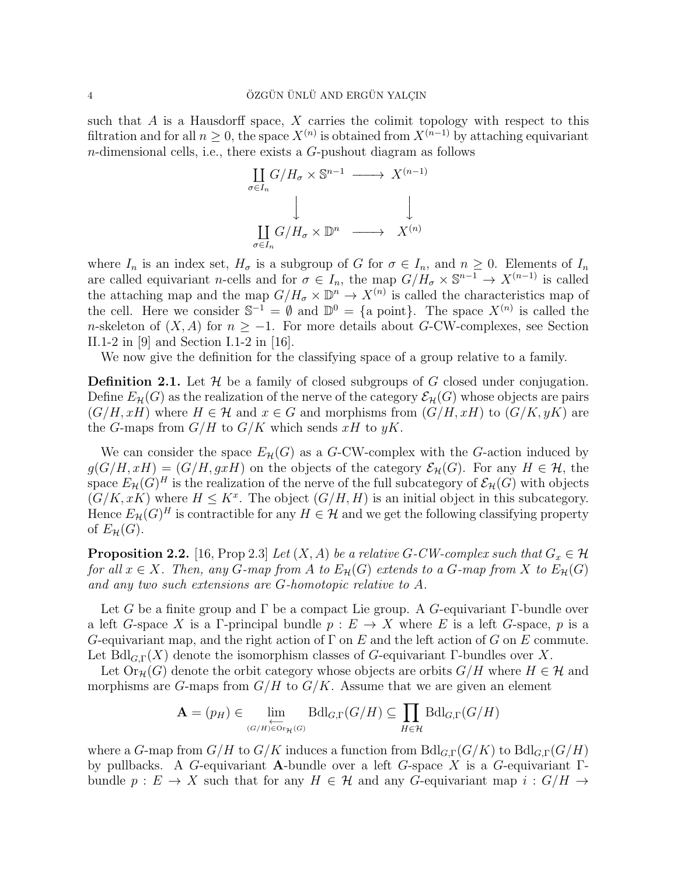such that  $A$  is a Hausdorff space,  $X$  carries the colimit topology with respect to this filtration and for all  $n \geq 0$ , the space  $X^{(n)}$  is obtained from  $X^{(n-1)}$  by attaching equivariant  $n$ -dimensional cells, i.e., there exists a  $G$ -pushout diagram as follows

$$
\underset{\sigma \in I_n}{\coprod} G/H_{\sigma} \times \mathbb{S}^{n-1} \longrightarrow X^{(n-1)}
$$
\n
$$
\downarrow \qquad \qquad \downarrow
$$
\n
$$
\underset{\sigma \in I_n}{\coprod} G/H_{\sigma} \times \mathbb{D}^n \longrightarrow X^{(n)}
$$

where  $I_n$  is an index set,  $H_{\sigma}$  is a subgroup of G for  $\sigma \in I_n$ , and  $n \geq 0$ . Elements of  $I_n$ are called equivariant n-cells and for  $\sigma \in I_n$ , the map  $G/H_{\sigma} \times \mathbb{S}^{n-1} \to X^{(n-1)}$  is called the attaching map and the map  $G/H_{\sigma} \times \mathbb{D}^n \to X^{(n)}$  is called the characteristics map of the cell. Here we consider  $\mathbb{S}^{-1} = \emptyset$  and  $\mathbb{D}^0 = \{\text{a point}\}\$ . The space  $X^{(n)}$  is called the n-skeleton of  $(X, A)$  for  $n \ge -1$ . For more details about G-CW-complexes, see Section II.1-2 in [9] and Section I.1-2 in [16].

We now give the definition for the classifying space of a group relative to a family.

**Definition 2.1.** Let  $\mathcal{H}$  be a family of closed subgroups of G closed under conjugation. Define  $E_{\mathcal{H}}(G)$  as the realization of the nerve of the category  $\mathcal{E}_{\mathcal{H}}(G)$  whose objects are pairs  $(G/H, xH)$  where  $H \in \mathcal{H}$  and  $x \in G$  and morphisms from  $(G/H, xH)$  to  $(G/K, yK)$  are the G-maps from  $G/H$  to  $G/K$  which sends xH to yK.

We can consider the space  $E_{\mathcal{H}}(G)$  as a G-CW-complex with the G-action induced by  $g(G/H, xH) = (G/H, gxH)$  on the objects of the category  $\mathcal{E}_{H}(G)$ . For any  $H \in \mathcal{H}$ , the space  $E_{\mathcal{H}}(G)^H$  is the realization of the nerve of the full subcategory of  $\mathcal{E}_{\mathcal{H}}(G)$  with objects  $(G/K, xK)$  where  $H \leq K^x$ . The object  $(G/H, H)$  is an initial object in this subcategory. Hence  $E_{\mathcal{H}}(G)^{H}$  is contractible for any  $H \in \mathcal{H}$  and we get the following classifying property of  $E_{\mathcal{H}}(G)$ .

**Proposition 2.2.** [16, Prop 2.3] Let  $(X, A)$  be a relative G-CW-complex such that  $G_x \in \mathcal{H}$ for all  $x \in X$ . Then, any G-map from A to  $E_{\mathcal{H}}(G)$  extends to a G-map from X to  $E_{\mathcal{H}}(G)$ and any two such extensions are G-homotopic relative to A.

Let G be a finite group and  $\Gamma$  be a compact Lie group. A G-equivariant Γ-bundle over a left G-space X is a Γ-principal bundle  $p : E \to X$  where E is a left G-space, p is a G-equivariant map, and the right action of  $\Gamma$  on E and the left action of G on E commute. Let  $BdI_{G,\Gamma}(X)$  denote the isomorphism classes of G-equivariant Γ-bundles over X.

Let  $\text{Or}_{\mathcal{H}}(G)$  denote the orbit category whose objects are orbits  $G/H$  where  $H \in \mathcal{H}$  and morphisms are G-maps from  $G/H$  to  $G/K$ . Assume that we are given an element

$$
\mathbf{A} = (p_H) \in \lim_{\substack{\longleftarrow \\ (G/H) \in \text{Or}_{\mathcal{H}}(G)}} \text{Bdl}_{G,\Gamma}(G/H) \subseteq \prod_{H \in \mathcal{H}} \text{Bdl}_{G,\Gamma}(G/H)
$$

where a G-map from  $G/H$  to  $G/K$  induces a function from  $Bdl_{G,\Gamma}(G/K)$  to  $Bdl_{G,\Gamma}(G/H)$ by pullbacks. A G-equivariant A-bundle over a left G-space X is a G-equivariant  $\Gamma$ bundle  $p: E \to X$  such that for any  $H \in \mathcal{H}$  and any G-equivariant map  $i: G/H \to Y$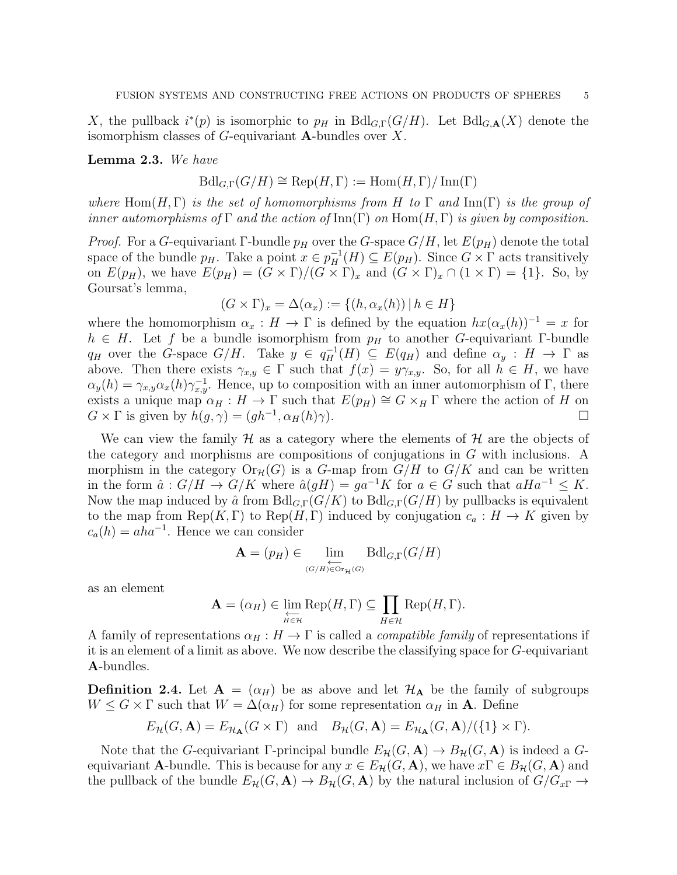X, the pullback  $i^*(p)$  is isomorphic to  $p_H$  in  $Bd_{G,\Gamma}(G/H)$ . Let  $Bd_{G,\mathbf{A}}(X)$  denote the isomorphism classes of  $G$ -equivariant **A**-bundles over  $X$ .

Lemma 2.3. We have

$$
\text{Bdl}_{G,\Gamma}(G/H) \cong \text{Rep}(H,\Gamma) := \text{Hom}(H,\Gamma)/\text{Inn}(\Gamma)
$$

where Hom(H, Γ) is the set of homomorphisms from H to Γ and Inn(Γ) is the group of inner automorphisms of  $\Gamma$  and the action of  $\text{Inn}(\Gamma)$  on  $\text{Hom}(H,\Gamma)$  is given by composition.

*Proof.* For a G-equivariant Γ-bundle  $p_H$  over the G-space  $G/H$ , let  $E(p_H)$  denote the total space of the bundle  $p_H$ . Take a point  $x \in p_H^{-1}(H) \subseteq E(p_H)$ . Since  $G \times \Gamma$  acts transitively on  $E(p_H)$ , we have  $E(p_H) = (G \times \Gamma)/(G \times \Gamma)_x$  and  $(G \times \Gamma)_x \cap (1 \times \Gamma) = \{1\}$ . So, by Goursat's lemma,

$$
(G \times \Gamma)_x = \Delta(\alpha_x) := \{(h, \alpha_x(h)) \mid h \in H\}
$$

where the homomorphism  $\alpha_x : H \to \Gamma$  is defined by the equation  $hx(\alpha_x(h))^{-1} = x$  for  $h \in H$ . Let f be a bundle isomorphism from  $p_H$  to another G-equivariant Γ-bundle  $q_H$  over the G-space  $G/H$ . Take  $y \in q_H^{-1}(H) \subseteq E(q_H)$  and define  $\alpha_y : H \to \Gamma$  as above. Then there exists  $\gamma_{x,y} \in \Gamma$  such that  $f(x) = y\gamma_{x,y}$ . So, for all  $h \in H$ , we have  $\alpha_y(h) = \gamma_{x,y} \alpha_x(h) \gamma_{x,y}^{-1}$ . Hence, up to composition with an inner automorphism of  $\Gamma$ , there exists a unique map  $\alpha_H : H \to \Gamma$  such that  $E(p_H) \cong G \times_H \Gamma$  where the action of H on  $G \times \Gamma$  is given by  $\bar{h}(g, \gamma) = (gh^{-1}, \alpha_H(h)\gamma)$ .

We can view the family  $\mathcal H$  as a category where the elements of  $\mathcal H$  are the objects of the category and morphisms are compositions of conjugations in G with inclusions. A morphism in the category  $\text{Or}_{\mathcal{H}}(G)$  is a G-map from  $G/H$  to  $G/K$  and can be written in the form  $\hat{a}: G/H \to G/K$  where  $\hat{a}(gH) = ga^{-1}K$  for  $a \in G$  such that  $aHa^{-1} \leq K$ . Now the map induced by  $\hat{a}$  from  $Bdl_{G,\Gamma}(G/K)$  to  $Bdl_{G,\Gamma}(G/H)$  by pullbacks is equivalent to the map from Rep(K, Γ) to Rep(H, Γ) induced by conjugation  $c_a: H \to K$  given by  $c_a(h) = aha^{-1}$ . Hence we can consider

$$
\mathbf{A} = (p_H) \in \lim_{\substack{\longleftarrow \\ (G/H) \in \text{Or}_{\mathcal{H}}(G)}} \text{Bdl}_{G,\Gamma}(G/H)
$$

as an element

$$
\mathbf{A} = (\alpha_H) \in \varprojlim_{H \in \mathcal{H}} \text{Rep}(H, \Gamma) \subseteq \prod_{H \in \mathcal{H}} \text{Rep}(H, \Gamma).
$$

A family of representations  $\alpha_H : H \to \Gamma$  is called a *compatible family* of representations if it is an element of a limit as above. We now describe the classifying space for G-equivariant A-bundles.

**Definition 2.4.** Let  $A = (\alpha_H)$  be as above and let  $\mathcal{H}_A$  be the family of subgroups  $W \leq G \times \Gamma$  such that  $W = \Delta(\alpha_H)$  for some representation  $\alpha_H$  in **A**. Define

$$
E_{\mathcal{H}}(G, \mathbf{A}) = E_{\mathcal{H}_{\mathbf{A}}}(G \times \Gamma)
$$
 and  $B_{\mathcal{H}}(G, \mathbf{A}) = E_{\mathcal{H}_{\mathbf{A}}}(G, \mathbf{A}) / (\{1\} \times \Gamma)$ .

Note that the G-equivariant Γ-principal bundle  $E_{\mathcal{H}}(G, \mathbf{A}) \to B_{\mathcal{H}}(G, \mathbf{A})$  is indeed a Gequivariant **A**-bundle. This is because for any  $x \in E_{\mathcal{H}}(G, \mathbf{A})$ , we have  $x \Gamma \in B_{\mathcal{H}}(G, \mathbf{A})$  and the pullback of the bundle  $E_{\mathcal{H}}(G, \mathbf{A}) \to B_{\mathcal{H}}(G, \mathbf{A})$  by the natural inclusion of  $G/G_{x\Gamma} \to$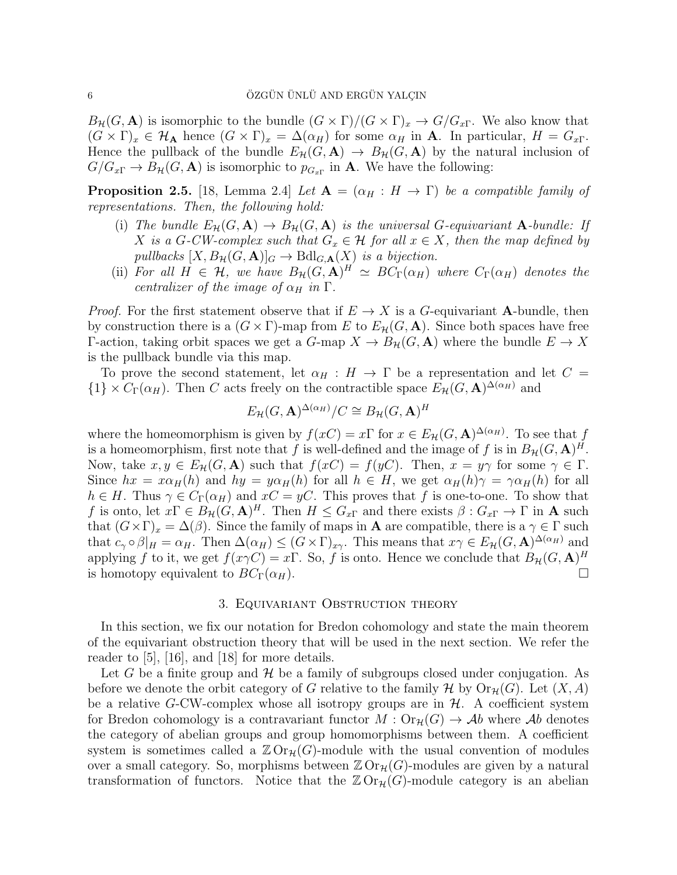$B_{\mathcal{H}}(G, \mathbf{A})$  is isomorphic to the bundle  $(G \times \Gamma)/(G \times \Gamma)_x \to G/G_{x\Gamma}$ . We also know that  $(G \times \Gamma)_x \in \mathcal{H}_{\mathbf{A}}$  hence  $(G \times \Gamma)_x = \Delta(\alpha_H)$  for some  $\alpha_H$  in  $\mathbf{A}$ . In particular,  $H = G_{x\Gamma}$ . Hence the pullback of the bundle  $E_{\mathcal{H}}(G, \mathbf{A}) \to B_{\mathcal{H}}(G, \mathbf{A})$  by the natural inclusion of  $G/G_{x\Gamma} \to B_{\mathcal{H}}(G,\mathbf{A})$  is isomorphic to  $p_{G_{x\Gamma}}$  in  $\mathbf{A}$ . We have the following:

**Proposition 2.5.** [18, Lemma 2.4] Let  $A = (\alpha_H : H \to \Gamma)$  be a compatible family of representations. Then, the following hold:

- (i) The bundle  $E_{\mathcal{H}}(G, \mathbf{A}) \to B_{\mathcal{H}}(G, \mathbf{A})$  is the universal G-equivariant  $\mathbf{A}$ -bundle: If X is a G-CW-complex such that  $G_x \in \mathcal{H}$  for all  $x \in X$ , then the map defined by pullbacks  $[X, B_{\mathcal{H}}(G, \mathbf{A})]_G \to \text{Bdl}_{G, \mathbf{A}}(X)$  is a bijection.
- (ii) For all  $H \in \mathcal{H}$ , we have  $B_{\mathcal{H}}(G, \mathbf{A})^H \simeq BC_{\Gamma}(\alpha_H)$  where  $C_{\Gamma}(\alpha_H)$  denotes the centralizer of the image of  $\alpha_H$  in  $\Gamma$ .

*Proof.* For the first statement observe that if  $E \to X$  is a G-equivariant A-bundle, then by construction there is a  $(G \times \Gamma)$ -map from E to  $E_{\mathcal{H}}(G, \mathbf{A})$ . Since both spaces have free Γ-action, taking orbit spaces we get a  $G$ -map  $X \to B_{\mathcal{H}}(G, \mathbf{A})$  where the bundle  $E \to X$ is the pullback bundle via this map.

To prove the second statement, let  $\alpha_H : H \to \Gamma$  be a representation and let  $C =$  ${1} \times C_{\Gamma}(\alpha_H)$ . Then C acts freely on the contractible space  $E_{\mathcal{H}}(G, \mathbf{A})^{\Delta(\alpha_H)}$  and

$$
E_{\mathcal{H}}(G, \mathbf{A})^{\Delta(\alpha_H)}/C \cong B_{\mathcal{H}}(G, \mathbf{A})^H
$$

where the homeomorphism is given by  $f(xC) = x\Gamma$  for  $x \in E_{\mathcal{H}}(G, \mathbf{A})^{\Delta(\alpha_H)}$ . To see that f is a homeomorphism, first note that f is well-defined and the image of f is in  $B_{\mathcal{H}}(G, \mathbf{A})^H$ . Now, take  $x, y \in E_{\mathcal{H}}(G, \mathbf{A})$  such that  $f(xC) = f(yC)$ . Then,  $x = y\gamma$  for some  $\gamma \in \Gamma$ . Since  $hx = x\alpha_H(h)$  and  $hy = y\alpha_H(h)$  for all  $h \in H$ , we get  $\alpha_H(h)\gamma = \gamma \alpha_H(h)$  for all  $h \in H$ . Thus  $\gamma \in C_{\Gamma}(\alpha_H)$  and  $xC = yC$ . This proves that f is one-to-one. To show that f is onto, let  $x\Gamma \in B_{\mathcal{H}}((G,\mathbf{A})^H$ . Then  $H \leq G_{x\Gamma}$  and there exists  $\beta: G_{x\Gamma} \to \Gamma$  in **A** such that  $(G \times \Gamma)_x = \Delta(\beta)$ . Since the family of maps in **A** are compatible, there is a  $\gamma \in \Gamma$  such that  $c_{\gamma} \circ \beta|_{H} = \alpha_{H}$ . Then  $\Delta(\alpha_{H}) \leq (G \times \Gamma)_{x_{\gamma}}$ . This means that  $x_{\gamma} \in E_{\mathcal{H}}(G, \mathbf{A})^{\Delta(\alpha_{H})}$  and applying f to it, we get  $f(x\gamma C) = x\Gamma$ . So, f is onto. Hence we conclude that  $B_{\mathcal{H}}(G, \mathbf{A})^H$ is homotopy equivalent to  $BC_{\Gamma}(\alpha_H)$ .

## 3. Equivariant Obstruction theory

In this section, we fix our notation for Bredon cohomology and state the main theorem of the equivariant obstruction theory that will be used in the next section. We refer the reader to [5], [16], and [18] for more details.

Let G be a finite group and  $\mathcal H$  be a family of subgroups closed under conjugation. As before we denote the orbit category of G relative to the family H by  $\text{Or}_{\mathcal{H}}(G)$ . Let  $(X, A)$ be a relative G-CW-complex whose all isotropy groups are in  $H$ . A coefficient system for Bredon cohomology is a contravariant functor  $M: \mathrm{Or}_{\mathcal{H}}(G) \to \mathcal{A}b$  where  $\mathcal{A}b$  denotes the category of abelian groups and group homomorphisms between them. A coefficient system is sometimes called a  $\mathbb{Z} \mathrm{Or}_{\mathcal{H}}(G)$ -module with the usual convention of modules over a small category. So, morphisms between  $\mathbb{Z} \mathrm{Or}_{\mathcal{H}}(G)$ -modules are given by a natural transformation of functors. Notice that the  $\mathbb{Z}$ Or<sub>H</sub>(G)-module category is an abelian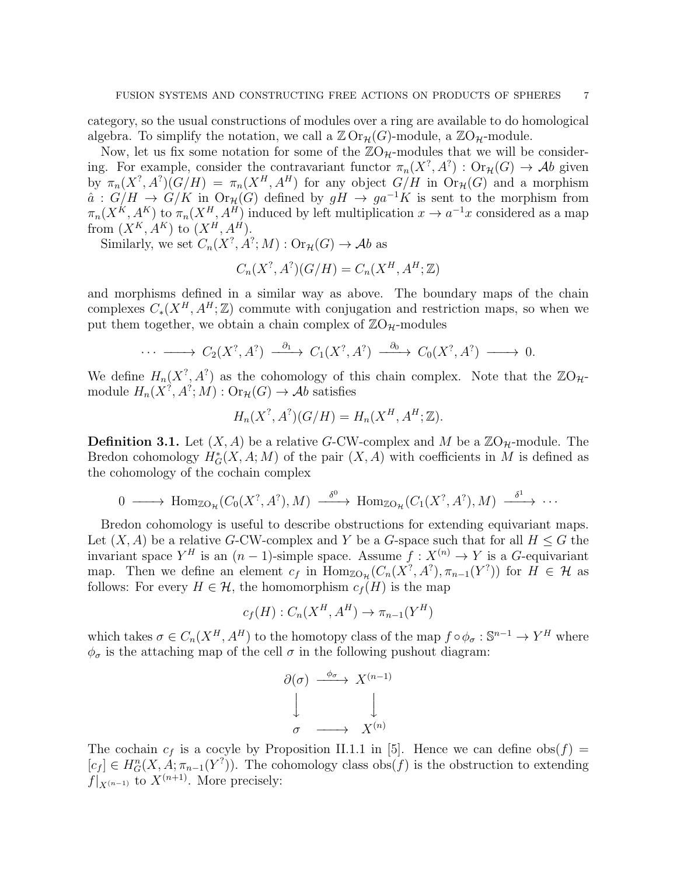category, so the usual constructions of modules over a ring are available to do homological algebra. To simplify the notation, we call a  $\mathbb{Z} \mathrm{Or}_{\mathcal{H}}(G)$ -module, a  $\mathbb{Z} \mathrm{O}_{\mathcal{H}}$ -module.

Now, let us fix some notation for some of the  $\mathbb{Z}O_{\mathcal{H}}$ -modules that we will be considering. For example, consider the contravariant functor  $\pi_n(X^?, A^?): \text{Or}_{\mathcal{H}}(G) \to \mathcal{A}b$  given by  $\pi_n(X^?, A^?)(G/H) = \pi_n(X^H, A^H)$  for any object  $G/H$  in  $\text{Or}_{\mathcal{H}}(G)$  and a morphism  $\hat{a}: G/H \to G/K$  in  $\text{Or}_{\mathcal{H}}(G)$  defined by  $gH \to ga^{-1}K$  is sent to the morphism from  $\pi_n(X^K, A^K)$  to  $\pi_n(X^H, A^H)$  induced by left multiplication  $x \to a^{-1}x$  considered as a map from  $(X^K, A^K)$  to  $(X^H, A^H)$ .

Similarly, we set  $C_n(X^?, A^?; M) : \text{Or}_{\mathcal{H}}(G) \to \mathcal{A}b$  as

$$
C_n(X^?, A^?)(G/H) = C_n(X^H, A^H; \mathbb{Z})
$$

and morphisms defined in a similar way as above. The boundary maps of the chain complexes  $C_*(X^H, A^H; \mathbb{Z})$  commute with conjugation and restriction maps, so when we put them together, we obtain a chain complex of  $\mathbb{Z}O_{\mathcal{H}}$ -modules

$$
\cdots \longrightarrow C_2(X^?, A^?) \longrightarrow C_1(X^?, A^?) \longrightarrow O_0(X^?, A^?) \longrightarrow 0.
$$

We define  $H_n(X^?, A^?)$  as the cohomology of this chain complex. Note that the  $\mathbb{Z}O_{\mathcal{H}}$ module  $H_n(X^?, A^?; M) : \text{Or}_{\mathcal{H}}(G) \to \mathcal{A}b$  satisfies

$$
H_n(X^?, A^?)(G/H) = H_n(X^H, A^H; \mathbb{Z}).
$$

**Definition 3.1.** Let  $(X, A)$  be a relative G-CW-complex and M be a  $\mathbb{Z}O_{\mathcal{H}}$ -module. The Bredon cohomology  $H^*_{G}(X, A; M)$  of the pair  $(X, A)$  with coefficients in M is defined as the cohomology of the cochain complex

$$
0 \longrightarrow \text{Hom}_{\mathbb{Z}O_{\mathcal{H}}}(C_0(X^?, A^?), M) \longrightarrow^{\delta^0} \text{Hom}_{\mathbb{Z}O_{\mathcal{H}}}(C_1(X^?, A^?), M) \longrightarrow^{\delta^1} \cdots
$$

Bredon cohomology is useful to describe obstructions for extending equivariant maps. Let  $(X, A)$  be a relative G-CW-complex and Y be a G-space such that for all  $H \leq G$  the invariant space  $Y^H$  is an  $(n-1)$ -simple space. Assume  $f: X^{(n)} \to Y$  is a G-equivariant map. Then we define an element  $c_f$  in  $\text{Hom}_{\mathbb{Z}O_H}(C_n(X^?, A^?), \pi_{n-1}(Y^?))$  for  $H \in \mathcal{H}$  as follows: For every  $H \in \mathcal{H}$ , the homomorphism  $c_f(H)$  is the map

$$
c_f(H) : C_n(X^H, A^H) \to \pi_{n-1}(Y^H)
$$

which takes  $\sigma \in C_n(X^H, A^H)$  to the homotopy class of the map  $f \circ \phi_\sigma : \mathbb{S}^{n-1} \to Y^H$  where  $\phi_{\sigma}$  is the attaching map of the cell  $\sigma$  in the following pushout diagram:

$$
\begin{array}{ccc}\n\partial(\sigma) & \xrightarrow{\phi_{\sigma}} & X^{(n-1)} \\
\downarrow & & \downarrow \\
\sigma & \longrightarrow & X^{(n)}\n\end{array}
$$

The cochain  $c_f$  is a cocyle by Proposition II.1.1 in [5]. Hence we can define obs(f) =  $[c_f] \in H^n_G(X, A; \pi_{n-1}(Y^?))$ . The cohomology class  $\text{obs}(f)$  is the obstruction to extending  $f|_{X^{(n-1)}}$  to  $X^{(n+1)}$ . More precisely: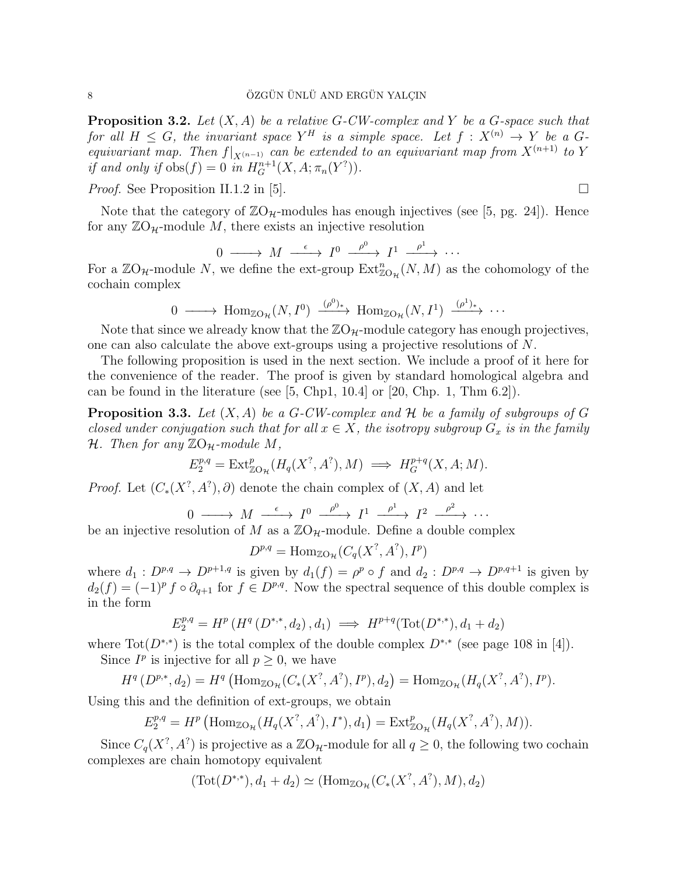**Proposition 3.2.** Let  $(X, A)$  be a relative G-CW-complex and Y be a G-space such that for all  $H \leq G$ , the invariant space  $Y^H$  is a simple space. Let  $f : X^{(n)} \to Y$  be a  $G$ equivariant map. Then  $f|_{X^{(n-1)}}$  can be extended to an equivariant map from  $X^{(n+1)}$  to Y if and only if  $obs(f) = 0$  in  $H_G^{n+1}(X, A; \pi_n(Y^?)).$ 

*Proof.* See Proposition II.1.2 in [5].

Note that the category of  $\mathbb{Z}O_{\mathcal{H}}$ -modules has enough injectives (see [5, pg. 24]). Hence for any  $\mathbb{Z}O_{\mathcal{H}}$ -module M, there exists an injective resolution

$$
0 \longrightarrow M \stackrel{\epsilon}{\longrightarrow} I^0 \stackrel{\rho^0}{\longrightarrow} I^1 \stackrel{\rho^1}{\longrightarrow} \cdots
$$

For a  $\mathbb{Z}O_{\mathcal{H}}$ -module N, we define the ext-group  $\mathrm{Ext}^n_{\mathbb{Z}O_{\mathcal{H}}}(N,M)$  as the cohomology of the cochain complex

$$
0 \longrightarrow \text{Hom}_{\mathbb{Z}O_{\mathcal{H}}}(N, I^0) \xrightarrow{(\rho^0)_*} \text{Hom}_{\mathbb{Z}O_{\mathcal{H}}}(N, I^1) \xrightarrow{(\rho^1)_*} \cdots
$$

Note that since we already know that the  $\mathbb{Z}O_{\mathcal{H}}$ -module category has enough projectives, one can also calculate the above ext-groups using a projective resolutions of N.

The following proposition is used in the next section. We include a proof of it here for the convenience of the reader. The proof is given by standard homological algebra and can be found in the literature (see  $[5, Chp1, 10.4]$  or  $[20, Chp. 1, Thm 6.2]$ ).

**Proposition 3.3.** Let  $(X, A)$  be a G-CW-complex and H be a family of subgroups of G closed under conjugation such that for all  $x \in X$ , the isotropy subgroup  $G_x$  is in the family H. Then for any  $\mathbb{Z}O_{\mathcal{H}}$ -module M,

$$
E_2^{p,q} = \text{Ext}^p_{\mathbb{Z}O_{\mathcal{H}}}(H_q(X^?, A^?), M) \implies H_G^{p+q}(X, A; M).
$$

*Proof.* Let  $(C_*(X^?, A^?), \partial)$  denote the chain complex of  $(X, A)$  and let

$$
0 \longrightarrow M \xrightarrow{\epsilon} I^0 \xrightarrow{\rho^0} I^1 \xrightarrow{\rho^1} I^2 \xrightarrow{\rho^2} \cdots
$$

be an injective resolution of M as a  $\mathbb{Z}O_{\mathcal{H}}$ -module. Define a double complex

$$
D^{p,q} = \text{Hom}_{\mathbb{Z}O_{\mathcal{H}}}(C_q(X^?, A^?), I^p)
$$

where  $d_1: D^{p,q} \to D^{p+1,q}$  is given by  $d_1(f) = \rho^p \circ f$  and  $d_2: D^{p,q} \to D^{p,q+1}$  is given by  $d_2(f) = (-1)^p f \circ \partial_{q+1}$  for  $f \in D^{p,q}$ . Now the spectral sequence of this double complex is in the form

$$
E_2^{p,q} = H^p(H^q(D^{*,*}, d_2), d_1) \implies H^{p+q}(\text{Tot}(D^{*,*}), d_1 + d_2)
$$

where  $\text{Tot}(D^{*,*})$  is the total complex of the double complex  $D^{*,*}$  (see page 108 in [4]). Since  $I^p$  is injective for all  $p \geq 0$ , we have

$$
H^q(D^{p,*}, d_2) = H^q(\text{Hom}_{\mathbb{Z}O_\mathcal{H}}(C_*(X^?, A^?), I^p), d_2) = \text{Hom}_{\mathbb{Z}O_\mathcal{H}}(H_q(X^?, A^?), I^p).
$$

Using this and the definition of ext-groups, we obtain

$$
E_2^{p,q} = H^p \left( \text{Hom}_{\mathbb{Z}O_{\mathcal{H}}}(H_q(X^?, A^?), I^*), d_1 \right) = \text{Ext}_{\mathbb{Z}O_{\mathcal{H}}}^p(H_q(X^?, A^?), M)).
$$

Since  $C_q(X^?, A^?)$  is projective as a  $\mathbb{Z}O_{\mathcal{H}}$ -module for all  $q \geq 0$ , the following two cochain complexes are chain homotopy equivalent

$$
(\text{Tot}(D^{*,*}), d_1 + d_2) \simeq (\text{Hom}_{\mathbb{Z}O}_{\mathcal{H}}(C_*(X^?, A^?), M), d_2)
$$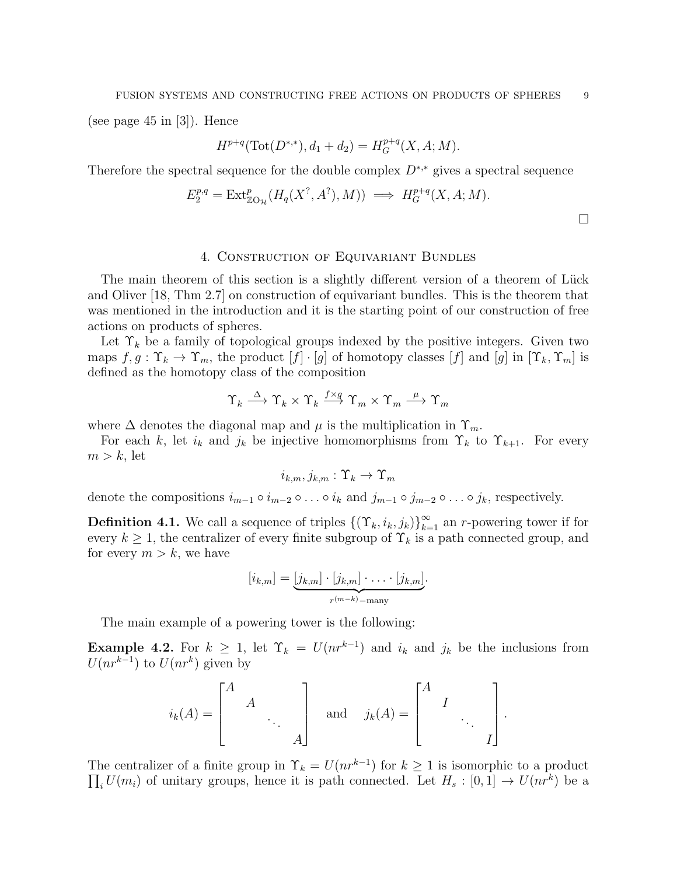(see page 45 in [3]). Hence

$$
H^{p+q}(\text{Tot}(D^{*,*}), d_1 + d_2) = H_G^{p+q}(X, A; M).
$$

Therefore the spectral sequence for the double complex  $D^{*,*}$  gives a spectral sequence

$$
E_2^{p,q} = \text{Ext}^p_{\mathbb{Z}O_{\mathcal{H}}}(H_q(X^?, A^?), M)) \implies H_G^{p+q}(X, A; M).
$$

 $\Box$ 

#### 4. Construction of Equivariant Bundles

The main theorem of this section is a slightly different version of a theorem of Lück and Oliver [18, Thm 2.7] on construction of equivariant bundles. This is the theorem that was mentioned in the introduction and it is the starting point of our construction of free actions on products of spheres.

Let  $\Upsilon_k$  be a family of topological groups indexed by the positive integers. Given two maps  $f, g: \Upsilon_k \to \Upsilon_m$ , the product  $[f] \cdot [g]$  of homotopy classes  $[f]$  and  $[g]$  in  $[\Upsilon_k, \Upsilon_m]$  is defined as the homotopy class of the composition

$$
\Upsilon_k \stackrel{\Delta}{\longrightarrow} \Upsilon_k \times \Upsilon_k \stackrel{f \times g}{\longrightarrow} \Upsilon_m \times \Upsilon_m \stackrel{\mu}{\longrightarrow} \Upsilon_m
$$

where  $\Delta$  denotes the diagonal map and  $\mu$  is the multiplication in  $\Upsilon_m$ .

For each k, let  $i_k$  and  $j_k$  be injective homomorphisms from  $\Upsilon_k$  to  $\Upsilon_{k+1}$ . For every  $m > k$ , let

$$
i_{k,m},j_{k,m}:\Upsilon_k\to\Upsilon_m
$$

denote the compositions  $i_{m-1} \circ i_{m-2} \circ \ldots \circ i_k$  and  $j_{m-1} \circ j_{m-2} \circ \ldots \circ j_k$ , respectively.

**Definition 4.1.** We call a sequence of triples  $\{(\Upsilon_k, i_k, j_k)\}_{k=1}^{\infty}$  an r-powering tower if for every  $k \geq 1$ , the centralizer of every finite subgroup of  $\Upsilon_k$  is a path connected group, and for every  $m > k$ , we have

$$
[i_{k,m}] = \underbrace{[j_{k,m}] \cdot [j_{k,m}] \cdot \ldots \cdot [j_{k,m}]}_{r^{(m-k)}-\text{many}}.
$$

The main example of a powering tower is the following:

**Example 4.2.** For  $k \geq 1$ , let  $\Upsilon_k = U(nr^{k-1})$  and  $i_k$  and  $j_k$  be the inclusions from  $U(nr^{k-1})$  to  $U(nr^k)$  given by

$$
i_k(A) = \begin{bmatrix} A & & \\ & A & \\ & & \ddots & \\ & & & A \end{bmatrix}
$$
 and  $j_k(A) = \begin{bmatrix} A & & \\ & I & \\ & & \ddots & \\ & & & I \end{bmatrix}$ .

The centralizer of a finite group in  $\Upsilon_k = U(nr^{k-1})$  for  $k \geq 1$  is isomorphic to a product  $\prod_i U(m_i)$  of unitary groups, hence it is path connected. Let  $H_s : [0,1] \to U(nr^k)$  be a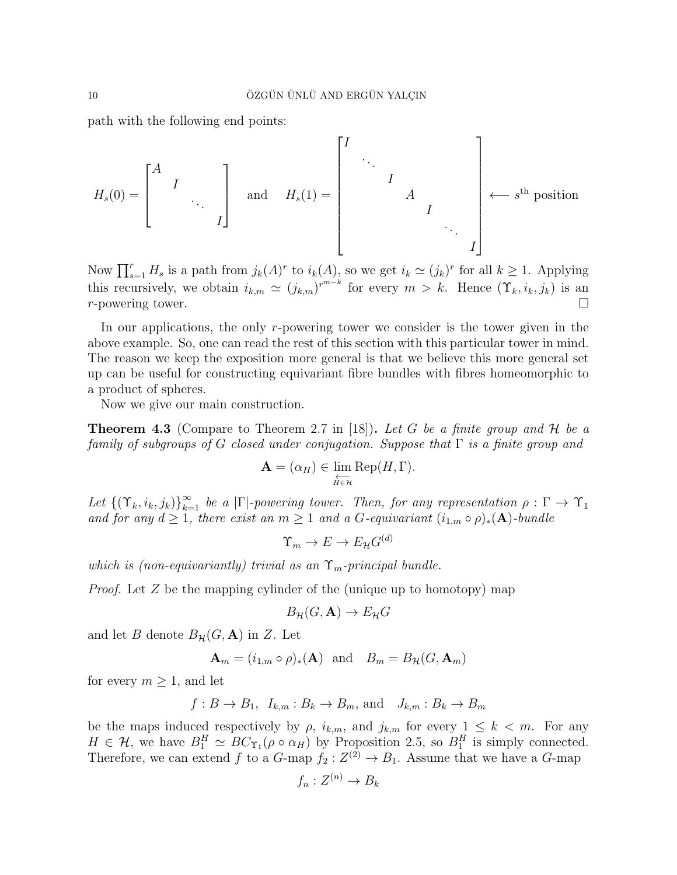path with the following end points:

$$
H_s(0) = \begin{bmatrix} A & & & \\ & I & & \\ & & \ddots & \\ & & & I \end{bmatrix} \quad \text{and} \quad H_s(1) = \begin{bmatrix} I & & & & \\ & \ddots & & & \\ & & I & & \\ & & & I & \\ & & & & \ddots \\ & & & & & I \end{bmatrix} \leftarrow s^{\text{th}} \text{ position}
$$

Now  $\prod_{s=1}^r H_s$  is a path from  $j_k(A)^r$  to  $i_k(A)$ , so we get  $i_k \simeq (j_k)^r$  for all  $k \geq 1$ . Applying this recursively, we obtain  $i_{k,m} \simeq (j_{k,m})^{r^{m-k}}$  for every  $m > k$ . Hence  $(\Upsilon_k, i_k, j_k)$  is an  $r$ -powering tower.

In our applications, the only r-powering tower we consider is the tower given in the above example. So, one can read the rest of this section with this particular tower in mind. The reason we keep the exposition more general is that we believe this more general set up can be useful for constructing equivariant fibre bundles with fibres homeomorphic to a product of spheres.

Now we give our main construction.

**Theorem 4.3** (Compare to Theorem 2.7 in [18]). Let G be a finite group and H be a family of subgroups of G closed under conjugation. Suppose that  $\Gamma$  is a finite group and

$$
\mathbf{A} = (\alpha_H) \in \varprojlim_{H \in \mathcal{H}} \text{Rep}(H, \Gamma).
$$

Let  ${(\Upsilon_k, i_k, j_k)}_{k=1}^{\infty}$  be a  $|\Gamma|$ -powering tower. Then, for any representation  $\rho : \Gamma \to \Upsilon_1$ and for any  $d \geq 1$ , there exist an  $m \geq 1$  and a G-equivariant  $(i_{1,m} \circ \rho)_*(\mathbf{A})$ -bundle

$$
\Upsilon_m \to E \to E_{\mathcal{H}}G^{(d)}
$$

which is (non-equivariantly) trivial as an  $\Upsilon_m$ -principal bundle.

*Proof.* Let  $Z$  be the mapping cylinder of the (unique up to homotopy) map

$$
B_{\mathcal{H}}(G,\mathbf{A}) \to E_{\mathcal{H}}G
$$

and let B denote  $B_{\mathcal{H}}(G, \mathbf{A})$  in Z. Let

$$
\mathbf{A}_m = (i_{1,m} \circ \rho)_*(\mathbf{A})
$$
 and  $B_m = B_{\mathcal{H}}(G, \mathbf{A}_m)$ 

for every  $m \geq 1$ , and let

$$
f: B \to B_1
$$
,  $I_{k,m}: B_k \to B_m$ , and  $J_{k,m}: B_k \to B_m$ 

be the maps induced respectively by  $\rho$ ,  $i_{k,m}$ , and  $j_{k,m}$  for every  $1 \leq k \leq m$ . For any  $H \in \mathcal{H}$ , we have  $B_1^H \simeq BC_{\Upsilon_1}(\rho \circ \alpha_H)$  by Proposition 2.5, so  $B_1^H$  is simply connected. Therefore, we can extend f to a  $G$ -map  $f_2: Z^{(2)} \to B_1$ . Assume that we have a  $G$ -map

$$
f_n: Z^{(n)} \to B_k
$$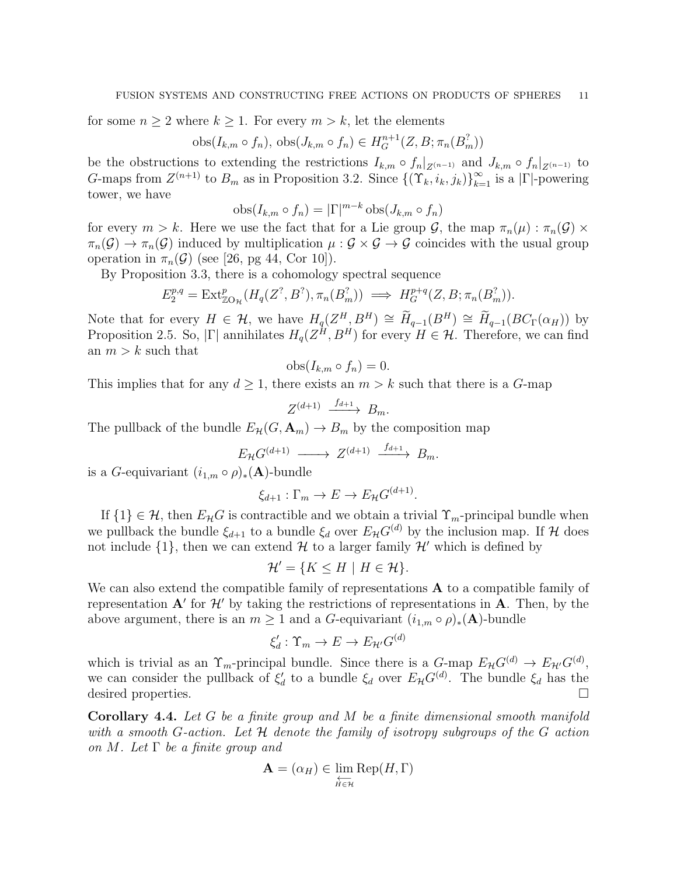for some  $n \geq 2$  where  $k \geq 1$ . For every  $m > k$ , let the elements

$$
obs(I_{k,m} \circ f_n), obs(J_{k,m} \circ f_n) \in H_G^{n+1}(Z, B; \pi_n(B_m^2))
$$

be the obstructions to extending the restrictions  $I_{k,m} \circ f_n|_{Z^{(n-1)}}$  and  $J_{k,m} \circ f_n|_{Z^{(n-1)}}$  to G-maps from  $Z^{(n+1)}$  to  $B_m$  as in Proposition 3.2. Since  $\{(\Upsilon_k, i_k, j_k)\}_{k=1}^{\infty}$  is a  $|\Gamma|$ -powering tower, we have

$$
obs(I_{k,m} \circ f_n) = |\Gamma|^{m-k} obs(J_{k,m} \circ f_n)
$$

for every  $m > k$ . Here we use the fact that for a Lie group  $\mathcal{G}$ , the map  $\pi_n(\mu) : \pi_n(\mathcal{G}) \times$  $\pi_n(\mathcal{G}) \to \pi_n(\mathcal{G})$  induced by multiplication  $\mu : \mathcal{G} \times \mathcal{G} \to \mathcal{G}$  coincides with the usual group operation in  $\pi_n(\mathcal{G})$  (see [26, pg 44, Cor 10]).

By Proposition 3.3, there is a cohomology spectral sequence

$$
E_2^{p,q} = \text{Ext}^p_{\mathbb{Z}O_H}(H_q(Z^?, B^?), \pi_n(B^?_m)) \implies H_G^{p+q}(Z, B; \pi_n(B^?_m)).
$$

Note that for every  $H \in \mathcal{H}$ , we have  $H_q(Z^H, B^H) \cong \widetilde{H}_{q-1}(B^H) \cong \widetilde{H}_{q-1}(BC_{\Gamma}(\alpha_H))$  by Proposition 2.5. So,  $|\Gamma|$  annihilates  $H_q(Z^H, B^H)$  for every  $H \in \mathcal{H}$ . Therefore, we can find an  $m > k$  such that

$$
obs(I_{k,m} \circ f_n) = 0.
$$

This implies that for any  $d \geq 1$ , there exists an  $m > k$  such that there is a G-map

$$
Z^{(d+1)} \xrightarrow{f_{d+1}} B_m.
$$

The pullback of the bundle  $E_{\mathcal{H}}(G, \mathbf{A}_m) \to B_m$  by the composition map

$$
E_{\mathcal{H}}G^{(d+1)} \longrightarrow Z^{(d+1)} \xrightarrow{f_{d+1}} B_m.
$$

is a G-equivariant  $(i_{1,m} \circ \rho)_*(\mathbf{A})$ -bundle

$$
\xi_{d+1} : \Gamma_m \to E \to E_{\mathcal{H}} G^{(d+1)}.
$$

If  $\{1\} \in \mathcal{H}$ , then  $E_{\mathcal{H}}G$  is contractible and we obtain a trivial  $\Upsilon_m$ -principal bundle when we pullback the bundle  $\xi_{d+1}$  to a bundle  $\xi_d$  over  $E_{\mathcal{H}}G^{(d)}$  by the inclusion map. If H does not include  $\{1\}$ , then we can extend  $\mathcal H$  to a larger family  $\mathcal H'$  which is defined by

$$
\mathcal{H}' = \{ K \le H \mid H \in \mathcal{H} \}.
$$

We can also extend the compatible family of representations **A** to a compatible family of representation  $A'$  for  $H'$  by taking the restrictions of representations in  $A$ . Then, by the above argument, there is an  $m \geq 1$  and a G-equivariant  $(i_{1,m} \circ \rho)_*(\mathbf{A})$ -bundle

$$
\xi'_d: \Upsilon_m \to E \to E_{\mathcal{H}'}G^{(d)}
$$

which is trivial as an  $\Upsilon_m$ -principal bundle. Since there is a  $G$ -map  $E_{\mathcal{H}}G^{(d)} \to E_{\mathcal{H}'}G^{(d)}$ , we can consider the pullback of  $\xi_d'$  to a bundle  $\xi_d$  over  $E_{\mathcal{H}}G^{(d)}$ . The bundle  $\xi_d$  has the desired properties.

**Corollary 4.4.** Let  $G$  be a finite group and  $M$  be a finite dimensional smooth manifold with a smooth G-action. Let  $\mathcal H$  denote the family of isotropy subgroups of the G action on M. Let  $\Gamma$  be a finite group and

$$
\mathbf{A} = (\alpha_H) \in \varprojlim_{H \in \mathcal{H}} \text{Rep}(H, \Gamma)
$$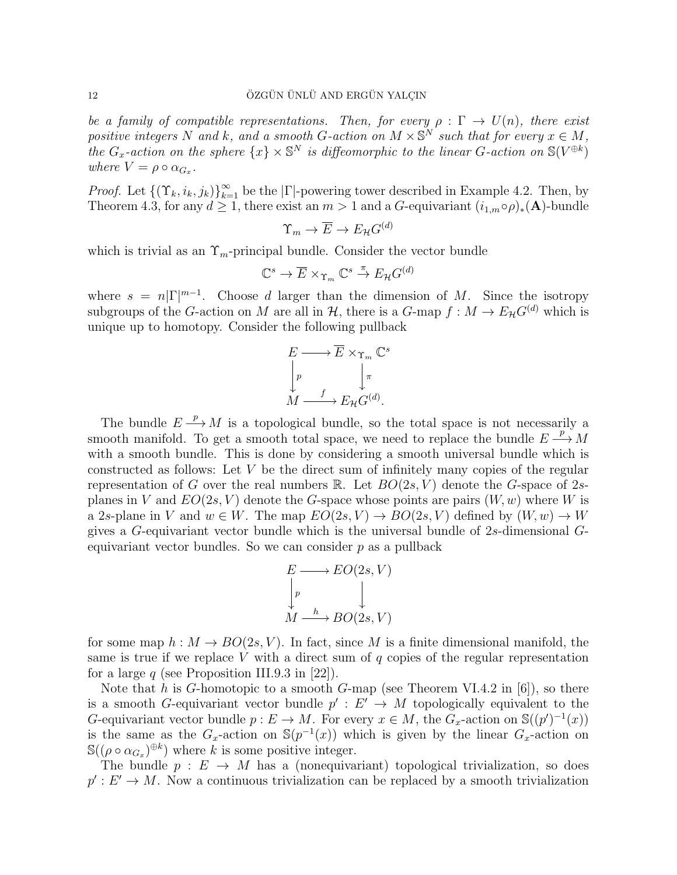be a family of compatible representations. Then, for every  $\rho : \Gamma \to U(n)$ , there exist positive integers N and k, and a smooth G-action on  $M \times \mathbb{S}^N$  such that for every  $x \in M$ , the  $G_x$ -action on the sphere  $\{x\}\times\mathbb{S}^N$  is diffeomorphic to the linear G-action on  $\mathbb{S}(V^{\oplus k})$ where  $V = \rho \circ \alpha_{G_x}$ .

*Proof.* Let  $\{(\Upsilon_k, i_k, j_k)\}_{k=1}^{\infty}$  be the  $|\Gamma|$ -powering tower described in Example 4.2. Then, by Theorem 4.3, for any  $d \geq 1$ , there exist an  $m > 1$  and a G-equivariant  $(i_{1,m} \circ \rho)_*(\mathbf{A})$ -bundle

$$
\Upsilon_m \to \overline{E} \to E_{\mathcal{H}} G^{(d)}
$$

which is trivial as an  $\Upsilon_m$ -principal bundle. Consider the vector bundle

$$
\mathbb{C}^s \to \overline{E} \times_{\Upsilon_m} \mathbb{C}^s \stackrel{\pi}{\to} E_{\mathcal{H}} G^{(d)}
$$

where  $s = n|\Gamma|^{m-1}$ . Choose d larger than the dimension of M. Since the isotropy subgroups of the G-action on M are all in  $H$ , there is a G-map  $f : M \to E_H G^{(d)}$  which is unique up to homotopy. Consider the following pullback

$$
E \longrightarrow \overline{E} \times_{\Upsilon_m} \mathbb{C}^s
$$

$$
\downarrow r
$$

$$
M \xrightarrow{f} E_{\mathcal{H}} G^{(d)}.
$$

The bundle  $E \stackrel{p}{\longrightarrow} M$  is a topological bundle, so the total space is not necessarily a smooth manifold. To get a smooth total space, we need to replace the bundle  $E \stackrel{p}{\longrightarrow} M$ with a smooth bundle. This is done by considering a smooth universal bundle which is constructed as follows: Let  $V$  be the direct sum of infinitely many copies of the regular representation of G over the real numbers R. Let  $BO(2s, V)$  denote the G-space of 2splanes in V and  $EO(2s, V)$  denote the G-space whose points are pairs  $(W, w)$  where W is a 2s-plane in V and  $w \in W$ . The map  $EO(2s, V) \to BO(2s, V)$  defined by  $(W, w) \to W$ gives a G-equivariant vector bundle which is the universal bundle of 2s-dimensional Gequivariant vector bundles. So we can consider  $p$  as a pullback

$$
E \longrightarrow EO(2s, V)
$$
  
\n
$$
\downarrow p
$$
  
\n
$$
M \xrightarrow{h} BO(2s, V)
$$

for some map  $h : M \to BO(2s, V)$ . In fact, since M is a finite dimensional manifold, the same is true if we replace V with a direct sum of  $q$  copies of the regular representation for a large q (see Proposition III.9.3 in [22]).

Note that h is G-homotopic to a smooth G-map (see Theorem VI.4.2 in [6]), so there is a smooth G-equivariant vector bundle  $p' : E' \to M$  topologically equivalent to the G-equivariant vector bundle  $p: E \to M$ . For every  $x \in M$ , the  $G_x$ -action on  $\mathbb{S}((p')^{-1}(x))$ is the same as the  $G_x$ -action on  $\mathbb{S}(p^{-1}(x))$  which is given by the linear  $G_x$ -action on  $\mathbb{S}((\rho \circ \alpha_{G_x})^{\oplus k})$  where k is some positive integer.

The bundle  $p : E \to M$  has a (nonequivariant) topological trivialization, so does  $p': E' \to M$ . Now a continuous trivialization can be replaced by a smooth trivialization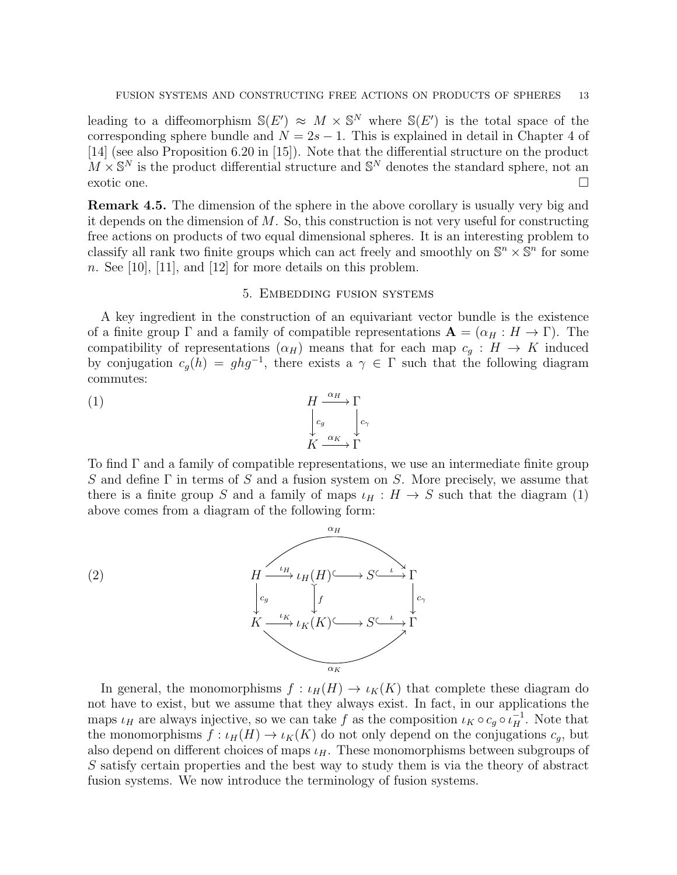leading to a diffeomorphism  $\mathbb{S}(E') \approx M \times \mathbb{S}^N$  where  $\mathbb{S}(E')$  is the total space of the corresponding sphere bundle and  $N = 2s - 1$ . This is explained in detail in Chapter 4 of [14] (see also Proposition 6.20 in [15]). Note that the differential structure on the product  $M \times \mathbb{S}^N$  is the product differential structure and  $\mathbb{S}^N$  denotes the standard sphere, not an exotic one.  $\Box$ 

Remark 4.5. The dimension of the sphere in the above corollary is usually very big and it depends on the dimension of  $M$ . So, this construction is not very useful for constructing free actions on products of two equal dimensional spheres. It is an interesting problem to classify all rank two finite groups which can act freely and smoothly on  $\mathbb{S}^n \times \mathbb{S}^n$  for some n. See [10], [11], and [12] for more details on this problem.

#### 5. Embedding fusion systems

A key ingredient in the construction of an equivariant vector bundle is the existence of a finite group  $\Gamma$  and a family of compatible representations  $\mathbf{A} = (\alpha_H : H \to \Gamma)$ . The compatibility of representations  $(\alpha_H)$  means that for each map  $c_q : H \to K$  induced by conjugation  $c_g(h) = ghg^{-1}$ , there exists a  $\gamma \in \Gamma$  such that the following diagram commutes:

(1) 
$$
\begin{array}{ccc}\nH & \xrightarrow{\alpha_H} & \Gamma \\
\downarrow c_g & \downarrow c_\gamma \\
K & \xrightarrow{\alpha_K} & \Gamma\n\end{array}
$$

To find Γ and a family of compatible representations, we use an intermediate finite group S and define  $\Gamma$  in terms of S and a fusion system on S. More precisely, we assume that there is a finite group S and a family of maps  $\iota_H : H \to S$  such that the diagram (1) above comes from a diagram of the following form:



In general, the monomorphisms  $f : \iota_H(H) \to \iota_K(K)$  that complete these diagram do not have to exist, but we assume that they always exist. In fact, in our applications the maps  $\iota_H$  are always injective, so we can take f as the composition  $\iota_K \circ c_g \circ \iota_H^{-1}$ . Note that the monomorphisms  $f: \iota_H(H) \to \iota_K(K)$  do not only depend on the conjugations  $c_q$ , but also depend on different choices of maps  $\iota_H$ . These monomorphisms between subgroups of S satisfy certain properties and the best way to study them is via the theory of abstract fusion systems. We now introduce the terminology of fusion systems.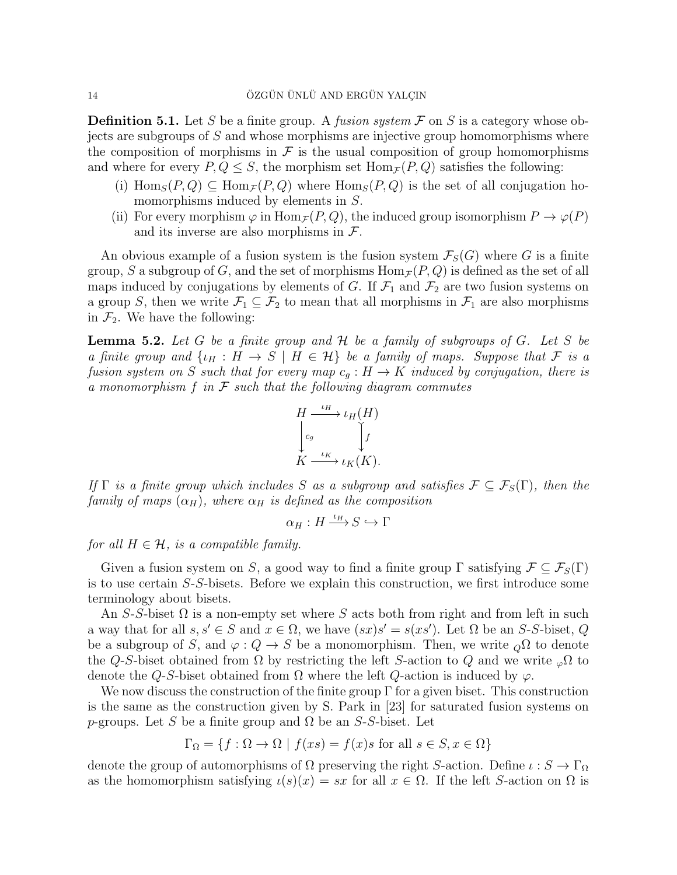**Definition 5.1.** Let S be a finite group. A *fusion system*  $\mathcal F$  on S is a category whose objects are subgroups of S and whose morphisms are injective group homomorphisms where the composition of morphisms in  $\mathcal F$  is the usual composition of group homomorphisms and where for every  $P, Q \leq S$ , the morphism set  $\text{Hom}_{\mathcal{F}}(P, Q)$  satisfies the following:

- (i)  $\text{Hom}_S(P,Q) \subseteq \text{Hom}_{\mathcal{F}}(P,Q)$  where  $\text{Hom}_S(P,Q)$  is the set of all conjugation homomorphisms induced by elements in S.
- (ii) For every morphism  $\varphi$  in  $\text{Hom}_{\mathcal{F}}(P,Q)$ , the induced group isomorphism  $P \to \varphi(P)$ and its inverse are also morphisms in  $\mathcal{F}$ .

An obvious example of a fusion system is the fusion system  $\mathcal{F}_{S}(G)$  where G is a finite group, S a subgroup of G, and the set of morphisms  $\text{Hom}_{\mathcal{F}}(P, Q)$  is defined as the set of all maps induced by conjugations by elements of G. If  $\mathcal{F}_1$  and  $\mathcal{F}_2$  are two fusion systems on a group S, then we write  $\mathcal{F}_1 \subseteq \mathcal{F}_2$  to mean that all morphisms in  $\mathcal{F}_1$  are also morphisms in  $\mathcal{F}_2$ . We have the following:

**Lemma 5.2.** Let G be a finite group and  $H$  be a family of subgroups of G. Let S be a finite group and  $\{\iota_H : H \to S \mid H \in \mathcal{H}\}\$ be a family of maps. Suppose that  $\mathcal F$  is a fusion system on S such that for every map  $c_g : H \to K$  induced by conjugation, there is a monomorphism  $f$  in  $\mathcal F$  such that the following diagram commutes



If  $\Gamma$  is a finite group which includes S as a subgroup and satisfies  $\mathcal{F} \subseteq \mathcal{F}_S(\Gamma)$ , then the family of maps  $(\alpha_H)$ , where  $\alpha_H$  is defined as the composition

$$
\alpha_H: H \xrightarrow{\iota_H} S \hookrightarrow \Gamma
$$

for all  $H \in \mathcal{H}$ , is a compatible family.

Given a fusion system on S, a good way to find a finite group  $\Gamma$  satisfying  $\mathcal{F} \subseteq \mathcal{F}_S(\Gamma)$ is to use certain S-S-bisets. Before we explain this construction, we first introduce some terminology about bisets.

An S-S-biset  $\Omega$  is a non-empty set where S acts both from right and from left in such a way that for all  $s, s' \in S$  and  $x \in \Omega$ , we have  $(sx)s' = s(xs')$ . Let  $\Omega$  be an S-S-biset, Q be a subgroup of S, and  $\varphi: Q \to S$  be a monomorphism. Then, we write  $\varphi \Omega$  to denote the Q-S-biset obtained from  $\Omega$  by restricting the left S-action to Q and we write  $_{\varphi}\Omega$  to denote the Q-S-biset obtained from  $\Omega$  where the left Q-action is induced by  $\varphi$ .

We now discuss the construction of the finite group  $\Gamma$  for a given biset. This construction is the same as the construction given by S. Park in [23] for saturated fusion systems on p-groups. Let S be a finite group and  $\Omega$  be an S-S-biset. Let

$$
\Gamma_{\Omega} = \{ f : \Omega \to \Omega \mid f(xs) = f(x)s \text{ for all } s \in S, x \in \Omega \}
$$

denote the group of automorphisms of  $\Omega$  preserving the right S-action. Define  $\iota : S \to \Gamma_{\Omega}$ as the homomorphism satisfying  $\iota(s)(x) = sx$  for all  $x \in \Omega$ . If the left S-action on  $\Omega$  is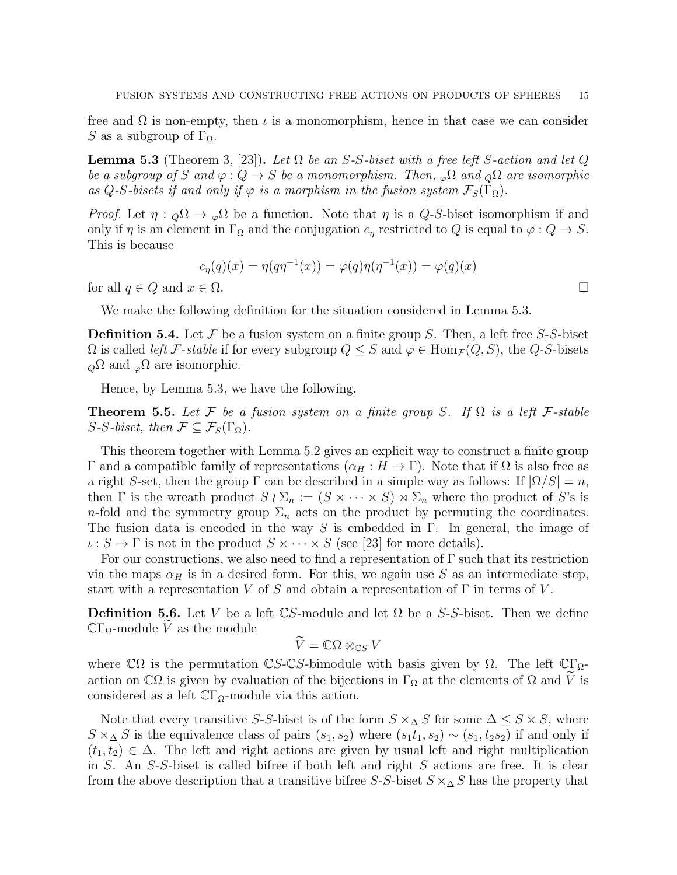free and  $\Omega$  is non-empty, then  $\iota$  is a monomorphism, hence in that case we can consider S as a subgroup of  $\Gamma_{\Omega}$ .

**Lemma 5.3** (Theorem 3, [23]). Let  $\Omega$  be an S-S-biset with a free left S-action and let Q be a subgroup of S and  $\varphi: Q \to S$  be a monomorphism. Then,  $\varphi \Omega$  and  $\varphi \Omega$  are isomorphic as Q-S-bisets if and only if  $\varphi$  is a morphism in the fusion system  $\mathcal{F}_S(\Gamma_\Omega)$ .

*Proof.* Let  $\eta :_{Q} \Omega \to_{\varphi} \Omega$  be a function. Note that  $\eta$  is a Q-S-biset isomorphism if and only if  $\eta$  is an element in  $\Gamma_{\Omega}$  and the conjugation  $c_{\eta}$  restricted to Q is equal to  $\varphi: Q \to S$ . This is because

$$
c_{\eta}(q)(x) = \eta(q\eta^{-1}(x)) = \varphi(q)\eta(\eta^{-1}(x)) = \varphi(q)(x)
$$

for all  $q \in Q$  and  $x \in \Omega$ .

We make the following definition for the situation considered in Lemma 5.3.

**Definition 5.4.** Let F be a fusion system on a finite group S. Then, a left free S-S-biset  $\Omega$  is called *left* F-stable if for every subgroup  $Q \leq S$  and  $\varphi \in \text{Hom}_{\mathcal{F}}(Q, S)$ , the Q-S-bisets  $_{Q}\Omega$  and  $_{Q}\Omega$  are isomorphic.

Hence, by Lemma 5.3, we have the following.

**Theorem 5.5.** Let F be a fusion system on a finite group S. If  $\Omega$  is a left F-stable S-S-biset, then  $\mathcal{F} \subseteq \mathcal{F}_S(\Gamma_\Omega)$ .

This theorem together with Lemma 5.2 gives an explicit way to construct a finite group Γ and a compatible family of representations  $(α<sub>H</sub> : H \to Γ)$ . Note that if Ω is also free as a right S-set, then the group  $\Gamma$  can be described in a simple way as follows: If  $|\Omega/S| = n$ , then  $\Gamma$  is the wreath product  $S \wr \Sigma_n := (S \times \cdots \times S) \rtimes \Sigma_n$  where the product of S's is n-fold and the symmetry group  $\Sigma_n$  acts on the product by permuting the coordinates. The fusion data is encoded in the way S is embedded in  $\Gamma$ . In general, the image of  $\iota : S \to \Gamma$  is not in the product  $S \times \cdots \times S$  (see [23] for more details).

For our constructions, we also need to find a representation of  $\Gamma$  such that its restriction via the maps  $\alpha_H$  is in a desired form. For this, we again use S as an intermediate step, start with a representation V of S and obtain a representation of  $\Gamma$  in terms of V.

**Definition 5.6.** Let V be a left  $\mathbb{C}S$ -module and let  $\Omega$  be a S-S-biset. Then we define  $\mathbb{C}\Gamma_{\Omega}$ -module V as the module

$$
\widetilde{V} = \mathbb{C}\Omega \otimes_{\mathbb{C}S} V
$$

where  $\mathbb{C}\Omega$  is the permutation  $\mathbb{C}S$ -CS-bimodule with basis given by  $\Omega$ . The left  $\mathbb{C}\Gamma_{\Omega}$ action on  $\mathbb{C}\Omega$  is given by evaluation of the bijections in  $\Gamma_{\Omega}$  at the elements of  $\Omega$  and V is considered as a left  $\mathbb{C}\Gamma_{\Omega}$ -module via this action.

Note that every transitive S-S-biset is of the form  $S \times_{\Delta} S$  for some  $\Delta \leq S \times S$ , where  $S \times \Delta S$  is the equivalence class of pairs  $(s_1, s_2)$  where  $(s_1t_1, s_2) \sim (s_1, t_2s_2)$  if and only if  $(t_1, t_2) \in \Delta$ . The left and right actions are given by usual left and right multiplication in S. An S-S-biset is called bifree if both left and right S actions are free. It is clear from the above description that a transitive bifree S-S-biset  $S \times \Delta S$  has the property that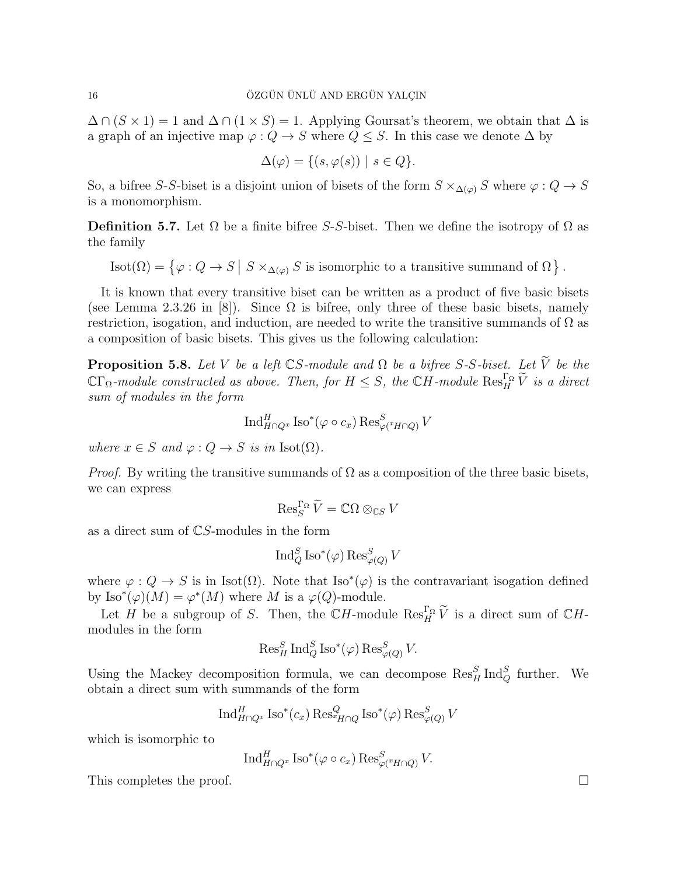$\Delta \cap (S \times 1) = 1$  and  $\Delta \cap (1 \times S) = 1$ . Applying Goursat's theorem, we obtain that  $\Delta$  is a graph of an injective map  $\varphi: Q \to S$  where  $Q \leq S$ . In this case we denote  $\Delta$  by

$$
\Delta(\varphi) = \{ (s, \varphi(s)) \mid s \in Q \}.
$$

So, a bifree S-S-biset is a disjoint union of bisets of the form  $S \times_{\Delta(\varphi)} S$  where  $\varphi : Q \to S$ is a monomorphism.

**Definition 5.7.** Let  $\Omega$  be a finite bifree *S-S*-biset. Then we define the isotropy of  $\Omega$  as the family

Isot $(\Omega) = \{ \varphi : Q \to S \mid S \times_{\Delta(\varphi)} S$  is isomorphic to a transitive summand of  $\Omega \}$ .

It is known that every transitive biset can be written as a product of five basic bisets (see Lemma 2.3.26 in [8]). Since  $\Omega$  is bifree, only three of these basic bisets, namely restriction, isogation, and induction, are needed to write the transitive summands of  $\Omega$  as a composition of basic bisets. This gives us the following calculation:

**Proposition 5.8.** Let V be a left  $\mathbb{C}S$ -module and  $\Omega$  be a bifree S-S-biset. Let  $\widetilde{V}$  be the  $\mathbb{C}\Gamma_{\Omega}$ -module constructed as above. Then, for  $H \leq S$ , the  $\mathbb{C}H$ -module  $\text{Res}_{H}^{\Gamma_{\Omega}}\widetilde{V}$  is a direct sum of modules in the form

$$
\operatorname{Ind}_{H\cap Q^x}^H \operatorname{Iso}^*(\varphi \circ c_x) \operatorname{Res}_{\varphi(^xH\cap Q)}^S V
$$

where  $x \in S$  and  $\varphi : Q \to S$  is in Isot( $\Omega$ ).

*Proof.* By writing the transitive summands of  $\Omega$  as a composition of the three basic bisets, we can express

$$
\operatorname{Res}_S^{\Gamma_\Omega} \widetilde{V} = \mathbb{C}\Omega \otimes_{\mathbb{C}S} V
$$

as a direct sum of CS-modules in the form

$$
\operatorname{Ind}_Q^S \operatorname{Iso}^*(\varphi) \operatorname{Res}_{\varphi(Q)}^S V
$$

where  $\varphi: Q \to S$  is in Isot( $\Omega$ ). Note that Iso<sup>\*</sup>( $\varphi$ ) is the contravariant isogation defined by  $\text{Iso}^*(\varphi)(M) = \varphi^*(M)$  where M is a  $\varphi(Q)$ -module.

Let H be a subgroup of S. Then, the  $\mathbb{C}H$ -module  $\text{Res}_{H}^{\Gamma_{\Omega}}\widetilde{V}$  is a direct sum of  $\mathbb{C}H$ modules in the form

$$
\operatorname{Res}^S_H \operatorname{Ind}^S_Q \operatorname{Iso}^*(\varphi) \operatorname{Res}^S_{\varphi(Q)} V.
$$

Using the Mackey decomposition formula, we can decompose  $\operatorname{Res}_{H}^{S} \text{Ind}_{Q}^{S}$  further. We obtain a direct sum with summands of the form

$$
\operatorname{Ind}_{H\cap Q^x}^H \operatorname{Iso}^*(c_x) \operatorname{Res}_{H\cap Q}^Q \operatorname{Iso}^*(\varphi) \operatorname{Res}_{\varphi(Q)}^S V
$$

which is isomorphic to

$$
\operatorname{Ind}_{H\cap Q^x}^H \operatorname{Iso}^*(\varphi \circ c_x) \operatorname{Res}_{\varphi(^xH\cap Q)}^S V.
$$

This completes the proof.  $\Box$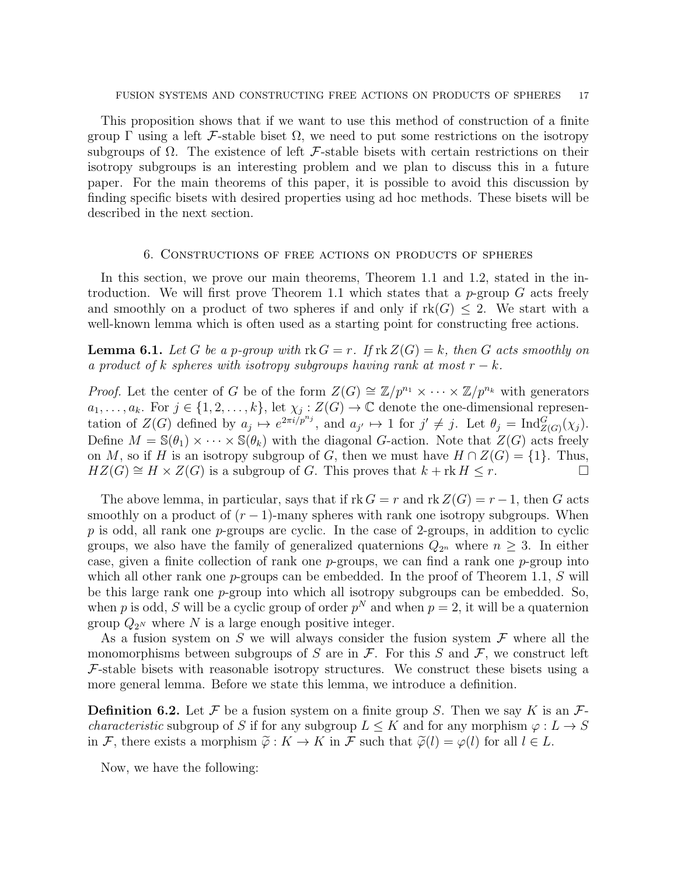This proposition shows that if we want to use this method of construction of a finite group  $\Gamma$  using a left F-stable biset  $\Omega$ , we need to put some restrictions on the isotropy subgroups of  $\Omega$ . The existence of left F-stable bisets with certain restrictions on their isotropy subgroups is an interesting problem and we plan to discuss this in a future paper. For the main theorems of this paper, it is possible to avoid this discussion by finding specific bisets with desired properties using ad hoc methods. These bisets will be described in the next section.

## 6. Constructions of free actions on products of spheres

In this section, we prove our main theorems, Theorem 1.1 and 1.2, stated in the introduction. We will first prove Theorem 1.1 which states that a p-group  $G$  acts freely and smoothly on a product of two spheres if and only if  $rk(G) \leq 2$ . We start with a well-known lemma which is often used as a starting point for constructing free actions.

**Lemma 6.1.** Let G be a p-group with  $\text{rk } G = r$ . If  $\text{rk } Z(G) = k$ , then G acts smoothly on a product of k spheres with isotropy subgroups having rank at most  $r - k$ .

*Proof.* Let the center of G be of the form  $Z(G) \cong \mathbb{Z}/p^{n_1} \times \cdots \times \mathbb{Z}/p^{n_k}$  with generators  $a_1, \ldots, a_k$ . For  $j \in \{1, 2, \ldots, k\}$ , let  $\chi_j : Z(G) \to \mathbb{C}$  denote the one-dimensional representation of  $Z(G)$  defined by  $a_j \mapsto e^{2\pi i/p^{n_j}}$ , and  $a_{j'} \mapsto 1$  for  $j' \neq j$ . Let  $\theta_j = \text{Ind}_{Z(G)}^G(\chi_j)$ . Define  $M = \mathbb{S}(\theta_1) \times \cdots \times \mathbb{S}(\theta_k)$  with the diagonal G-action. Note that  $Z(G)$  acts freely on M, so if H is an isotropy subgroup of G, then we must have  $H \cap Z(G) = \{1\}$ . Thus,  $HZ(G) \cong H \times Z(G)$  is a subgroup of G. This proves that  $k + \text{rk } H \leq r$ .

The above lemma, in particular, says that if  $rk G = r$  and  $rk Z(G) = r - 1$ , then G acts smoothly on a product of  $(r - 1)$ -many spheres with rank one isotropy subgroups. When  $p$  is odd, all rank one  $p$ -groups are cyclic. In the case of 2-groups, in addition to cyclic groups, we also have the family of generalized quaternions  $Q_{2^n}$  where  $n \geq 3$ . In either case, given a finite collection of rank one  $p$ -groups, we can find a rank one  $p$ -group into which all other rank one  $p$ -groups can be embedded. In the proof of Theorem 1.1, S will be this large rank one p-group into which all isotropy subgroups can be embedded. So, when p is odd, S will be a cyclic group of order  $p^N$  and when  $p = 2$ , it will be a quaternion group  $Q_{2N}$  where N is a large enough positive integer.

As a fusion system on  $S$  we will always consider the fusion system  $\mathcal F$  where all the monomorphisms between subgroups of S are in  $\mathcal F$ . For this S and  $\mathcal F$ , we construct left  $F$ -stable bisets with reasonable isotropy structures. We construct these bisets using a more general lemma. Before we state this lemma, we introduce a definition.

**Definition 6.2.** Let F be a fusion system on a finite group S. Then we say K is an  $\mathcal{F}$ *characteristic* subgroup of S if for any subgroup  $L \leq K$  and for any morphism  $\varphi: L \to S$ in F, there exists a morphism  $\tilde{\varphi}: K \to K$  in F such that  $\tilde{\varphi}(l) = \varphi(l)$  for all  $l \in L$ .

Now, we have the following: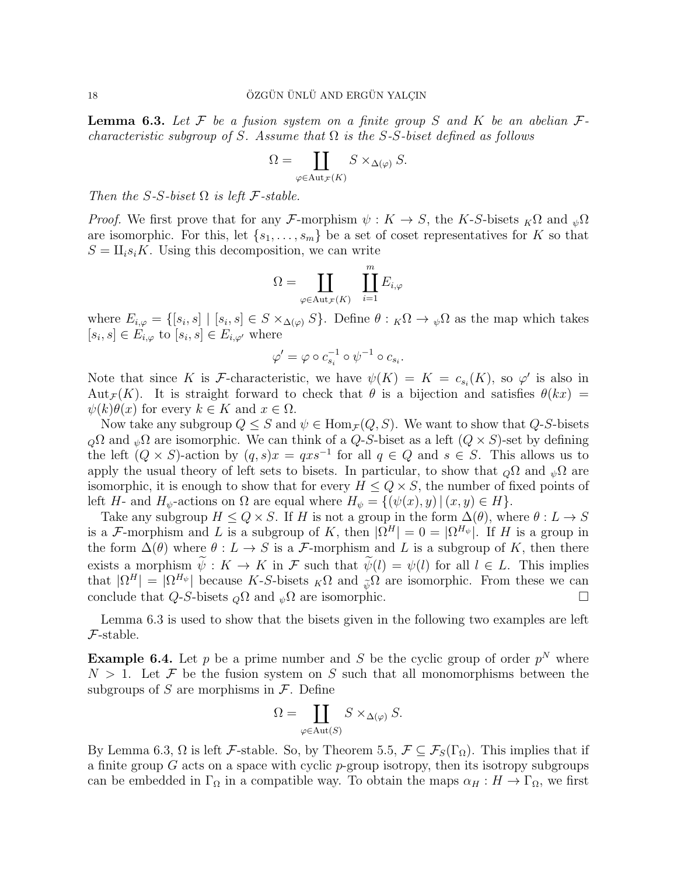**Lemma 6.3.** Let F be a fusion system on a finite group S and K be an abelian  $\mathcal{F}$ characteristic subgroup of S. Assume that  $\Omega$  is the S-S-biset defined as follows

$$
\Omega = \coprod_{\varphi \in \text{Aut}_{\mathcal{F}}(K)} S \times_{\Delta(\varphi)} S.
$$

Then the S-S-biset  $\Omega$  is left F-stable.

*Proof.* We first prove that for any F-morphism  $\psi: K \to S$ , the K-S-bisets  $_K\Omega$  and  $_{\psi}\Omega$ are isomorphic. For this, let  $\{s_1, \ldots, s_m\}$  be a set of coset representatives for K so that  $S = \prod_i s_i K$ . Using this decomposition, we can write

$$
\Omega = \coprod_{\varphi \in \text{Aut}_{\mathcal{F}}(K)} \quad \coprod_{i=1}^{m} E_{i,\varphi}
$$

where  $E_{i,\varphi} = \{ [s_i,s] \mid [s_i,s] \in S \times_{\Delta(\varphi)} S \}$ . Define  $\theta : {}_K\Omega \to {}_{\psi}\Omega$  as the map which takes  $[s_i, s] \in E_{i, \varphi}$  to  $[s_i, s] \in E_{i, \varphi'}$  where

$$
\varphi' = \varphi \circ c_{s_i}^{-1} \circ \psi^{-1} \circ c_{s_i}.
$$

Note that since K is F-characteristic, we have  $\psi(K) = K = c_{s_i}(K)$ , so  $\varphi'$  is also in Aut<sub>F</sub>(K). It is straight forward to check that  $\theta$  is a bijection and satisfies  $\theta(kx)$  =  $\psi(k)\theta(x)$  for every  $k \in K$  and  $x \in \Omega$ .

Now take any subgroup  $Q \leq S$  and  $\psi \in \text{Hom}_{\mathcal{F}}(Q, S)$ . We want to show that Q-S-bisets  $_{Q}\Omega$  and  $_{\psi}\Omega$  are isomorphic. We can think of a Q-S-biset as a left  $(Q \times S)$ -set by defining the left  $(Q \times S)$ -action by  $(q, s)x = qxs^{-1}$  for all  $q \in Q$  and  $s \in S$ . This allows us to apply the usual theory of left sets to bisets. In particular, to show that  $_{Q}\Omega$  and  $_{\psi}\Omega$  are isomorphic, it is enough to show that for every  $H \le Q \times S$ , the number of fixed points of left H- and  $H_{\psi}$ -actions on  $\Omega$  are equal where  $H_{\psi} = \{(\psi(x), y) | (x, y) \in H\}.$ 

Take any subgroup  $H \le Q \times S$ . If H is not a group in the form  $\Delta(\theta)$ , where  $\theta: L \to S$ is a F-morphism and L is a subgroup of K, then  $|\Omega^H| = 0 = |\Omega^{H_{\psi}}|$ . If H is a group in the form  $\Delta(\theta)$  where  $\theta: L \to S$  is a *F*-morphism and L is a subgroup of K, then there exists a morphism  $\tilde{\psi}: K \to K$  in F such that  $\tilde{\psi}(l) = \psi(l)$  for all  $l \in L$ . This implies that  $|\Omega^H| = |\Omega^{H_{\psi}}|$  because K-S-bisets  $_K\Omega$  and  $_{\widetilde{\psi}}\Omega$  are isomorphic. From these we can conclude that  $Q$ -S-bisets  $_Q\Omega$  and  $_\psi\Omega$  are isomorphic.

Lemma 6.3 is used to show that the bisets given in the following two examples are left F-stable.

**Example 6.4.** Let p be a prime number and S be the cyclic group of order  $p^N$  where  $N > 1$ . Let F be the fusion system on S such that all monomorphisms between the subgroups of S are morphisms in  $\mathcal F$ . Define

$$
\Omega = \coprod_{\varphi \in \text{Aut}(S)} S \times_{\Delta(\varphi)} S.
$$

By Lemma 6.3,  $\Omega$  is left F-stable. So, by Theorem 5.5,  $\mathcal{F} \subseteq \mathcal{F}_S(\Gamma_\Omega)$ . This implies that if a finite group G acts on a space with cyclic p-group isotropy, then its isotropy subgroups can be embedded in  $\Gamma_{\Omega}$  in a compatible way. To obtain the maps  $\alpha_H : H \to \Gamma_{\Omega}$ , we first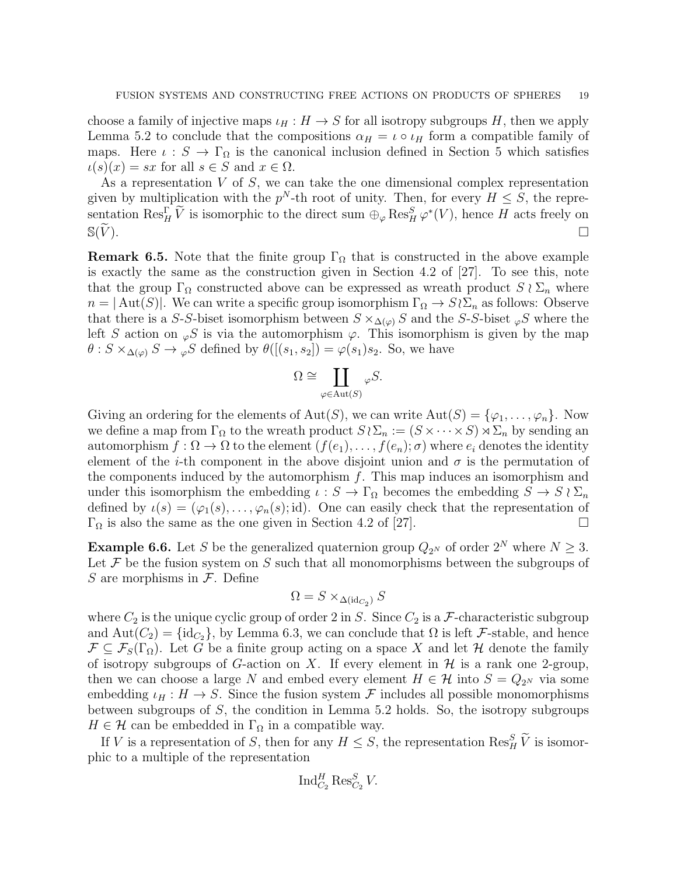choose a family of injective maps  $\iota_H : H \to S$  for all isotropy subgroups H, then we apply Lemma 5.2 to conclude that the compositions  $\alpha_H = \iota \circ \iota_H$  form a compatible family of maps. Here  $\iota : S \to \Gamma_{\Omega}$  is the canonical inclusion defined in Section 5 which satisfies  $u(s)(x) = sx$  for all  $s \in S$  and  $x \in \Omega$ .

As a representation  $V$  of  $S$ , we can take the one dimensional complex representation given by multiplication with the  $p^N$ -th root of unity. Then, for every  $H \leq S$ , the representation  $\text{Res}_{H}^{\Gamma} \widetilde{V}$  is isomorphic to the direct sum  $\bigoplus_{\varphi} \text{Res}_{H}^{S} \varphi^*(V)$ , hence H acts freely on  $\mathbb{S}(\widetilde{V})$ .

**Remark 6.5.** Note that the finite group  $\Gamma_{\Omega}$  that is constructed in the above example is exactly the same as the construction given in Section 4.2 of [27]. To see this, note that the group  $\Gamma_{\Omega}$  constructed above can be expressed as wreath product  $S \wr \Sigma_n$  where  $n = |\text{Aut}(S)|$ . We can write a specific group isomorphism  $\Gamma_{\Omega} \to S \wr \Sigma_n$  as follows: Observe that there is a S-S-biset isomorphism between  $S \times_{\Delta(\varphi)} S$  and the S-S-biset  $_{\varphi}S$  where the left S action on  $\varphi S$  is via the automorphism  $\varphi$ . This isomorphism is given by the map  $\theta$ :  $S \times_{\Delta(\varphi)} S \to {}_{\varphi}S$  defined by  $\theta([s_1, s_2]) = \varphi(s_1) s_2$ . So, we have

$$
\Omega \cong \coprod_{\varphi \in \text{Aut}(S)} \varphi S.
$$

Giving an ordering for the elements of Aut(S), we can write  $Aut(S) = {\varphi_1, \ldots, \varphi_n}$ . Now we define a map from  $\Gamma_{\Omega}$  to the wreath product  $S \wr \Sigma_n := (S \times \cdots \times S) \rtimes \Sigma_n$  by sending an automorphism  $f: \Omega \to \Omega$  to the element  $(f(e_1), \ldots, f(e_n); \sigma)$  where  $e_i$  denotes the identity element of the *i*-th component in the above disjoint union and  $\sigma$  is the permutation of the components induced by the automorphism  $f$ . This map induces an isomorphism and under this isomorphism the embedding  $\iota : S \to \Gamma_{\Omega}$  becomes the embedding  $S \to S \wr \Sigma_n$ defined by  $\iota(s) = (\varphi_1(s), \ldots, \varphi_n(s); \mathrm{id})$ . One can easily check that the representation of  $\Gamma_{\Omega}$  is also the same as the one given in Section 4.2 of [27].

**Example 6.6.** Let S be the generalized quaternion group  $Q_{2^N}$  of order  $2^N$  where  $N \geq 3$ . Let  $\mathcal F$  be the fusion system on S such that all monomorphisms between the subgroups of S are morphisms in  $\mathcal{F}$ . Define

$$
\Omega = S \times_{\Delta(\mathrm{id}_{C_2})} S
$$

where  $C_2$  is the unique cyclic group of order 2 in S. Since  $C_2$  is a F-characteristic subgroup and  $Aut(C_2) = {id_{C_2}}$ , by Lemma 6.3, we can conclude that  $\Omega$  is left F-stable, and hence  $\mathcal{F} \subseteq \mathcal{F}_S(\Gamma_\Omega)$ . Let G be a finite group acting on a space X and let H denote the family of isotropy subgroups of G-action on X. If every element in  $\mathcal H$  is a rank one 2-group, then we can choose a large N and embed every element  $H \in \mathcal{H}$  into  $S = Q_{2^N}$  via some embedding  $\iota_H : H \to S$ . Since the fusion system F includes all possible monomorphisms between subgroups of  $S$ , the condition in Lemma 5.2 holds. So, the isotropy subgroups  $H \in \mathcal{H}$  can be embedded in  $\Gamma_{\Omega}$  in a compatible way.

If V is a representation of S, then for any  $H \leq S$ , the representation  $\text{Res}_{H}^{S} \widetilde{V}$  is isomorphic to a multiple of the representation

$$
\operatorname{Ind}_{C_2}^H \operatorname{Res}_{C_2}^S V.
$$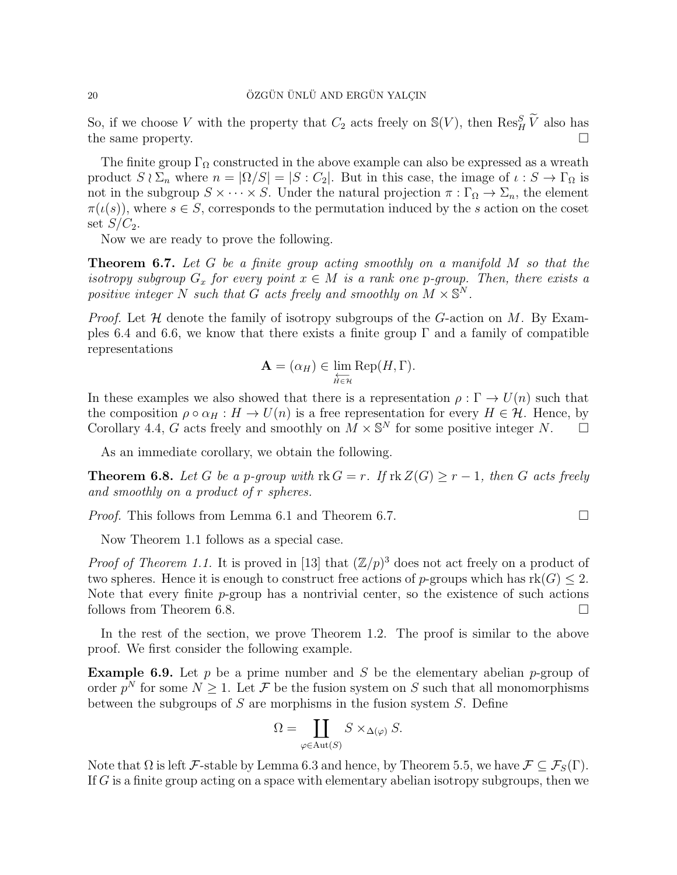So, if we choose V with the property that  $C_2$  acts freely on  $\mathbb{S}(V)$ , then  $\text{Res}_{H}^{S}$   $\widetilde{V}$  also has the same property.

The finite group  $\Gamma_{\Omega}$  constructed in the above example can also be expressed as a wreath product  $S \wr \Sigma_n$  where  $n = |\Omega/S| = |S : C_2|$ . But in this case, the image of  $\iota : S \to \Gamma_\Omega$  is not in the subgroup  $S \times \cdots \times S$ . Under the natural projection  $\pi : \Gamma_{\Omega} \to \Sigma_n$ , the element  $\pi(\iota(s))$ , where  $s \in S$ , corresponds to the permutation induced by the s action on the coset set  $S/C_2$ .

Now we are ready to prove the following.

**Theorem 6.7.** Let  $G$  be a finite group acting smoothly on a manifold  $M$  so that the isotropy subgroup  $G_x$  for every point  $x \in M$  is a rank one p-group. Then, there exists a positive integer N such that G acts freely and smoothly on  $M \times \mathbb{S}^N$ .

*Proof.* Let  $H$  denote the family of isotropy subgroups of the G-action on M. By Examples 6.4 and 6.6, we know that there exists a finite group  $\Gamma$  and a family of compatible representations

$$
\mathbf{A} = (\alpha_H) \in \varprojlim_{H \in \mathcal{H}} \text{Rep}(H, \Gamma).
$$

In these examples we also showed that there is a representation  $\rho : \Gamma \to U(n)$  such that the composition  $\rho \circ \alpha_H : H \to U(n)$  is a free representation for every  $H \in \mathcal{H}$ . Hence, by Corollary 4.4, G acts freely and smoothly on  $M \times \mathbb{S}^N$  for some positive integer N.

As an immediate corollary, we obtain the following.

**Theorem 6.8.** Let G be a p-group with  $rk G = r$ . If  $rk Z(G) \geq r - 1$ , then G acts freely and smoothly on a product of r spheres.

*Proof.* This follows from Lemma 6.1 and Theorem 6.7.

Now Theorem 1.1 follows as a special case.

*Proof of Theorem 1.1.* It is proved in [13] that  $(\mathbb{Z}/p)^3$  does not act freely on a product of two spheres. Hence it is enough to construct free actions of p-groups which has  $rk(G) \leq 2$ . Note that every finite  $p$ -group has a nontrivial center, so the existence of such actions follows from Theorem 6.8.

In the rest of the section, we prove Theorem 1.2. The proof is similar to the above proof. We first consider the following example.

**Example 6.9.** Let p be a prime number and S be the elementary abelian p-group of order  $p^N$  for some  $N \geq 1$ . Let F be the fusion system on S such that all monomorphisms between the subgroups of  $S$  are morphisms in the fusion system  $S$ . Define

$$
\Omega = \coprod_{\varphi \in \text{Aut}(S)} S \times_{\Delta(\varphi)} S.
$$

Note that  $\Omega$  is left F-stable by Lemma 6.3 and hence, by Theorem 5.5, we have  $\mathcal{F} \subseteq \mathcal{F}_{S}(\Gamma)$ . If G is a finite group acting on a space with elementary abelian isotropy subgroups, then we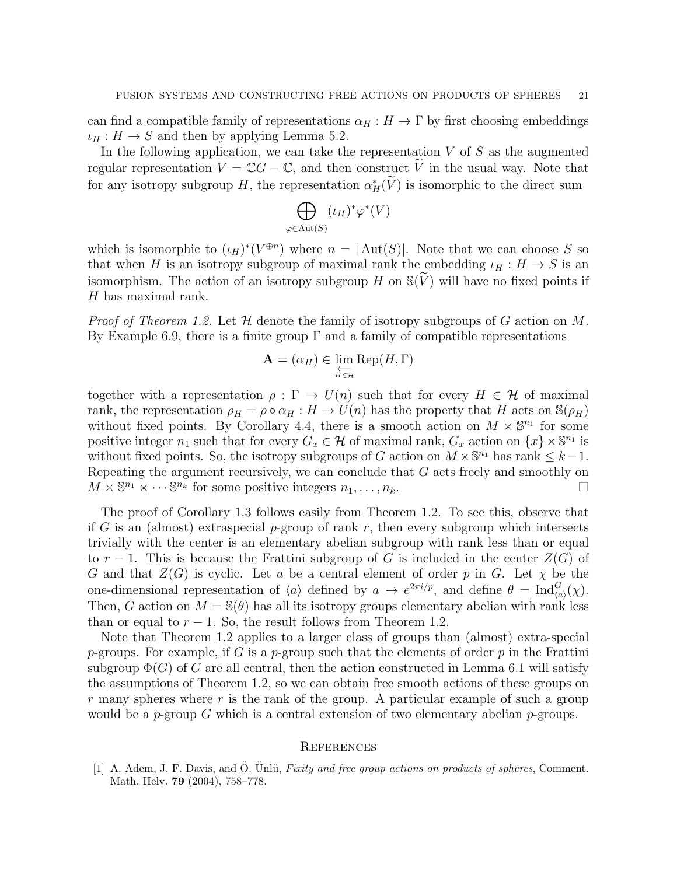can find a compatible family of representations  $\alpha_H : H \to \Gamma$  by first choosing embeddings  $\iota_H : H \to S$  and then by applying Lemma 5.2.

In the following application, we can take the representation  $V$  of  $S$  as the augmented regular representation  $V = \mathbb{C}G - \mathbb{C}$ , and then construct V in the usual way. Note that for any isotropy subgroup H, the representation  $\alpha^*_{H}(\tilde{V})$  is isomorphic to the direct sum

$$
\bigoplus_{\varphi \in \text{Aut}(S)} (\iota_H)^* \varphi^*(V)
$$

which is isomorphic to  $(\iota_H)^*(V^{\oplus n})$  where  $n = |\text{Aut}(S)|$ . Note that we can choose S so that when H is an isotropy subgroup of maximal rank the embedding  $\iota_H : H \to S$  is an isomorphism. The action of an isotropy subgroup H on  $\mathbb{S}(\widetilde{V})$  will have no fixed points if H has maximal rank.

*Proof of Theorem 1.2.* Let  $\mathcal H$  denote the family of isotropy subgroups of G action on M. By Example 6.9, there is a finite group  $\Gamma$  and a family of compatible representations

$$
\mathbf{A} = (\alpha_H) \in \varprojlim_{H \in \mathcal{H}} \text{Rep}(H, \Gamma)
$$

together with a representation  $\rho : \Gamma \to U(n)$  such that for every  $H \in \mathcal{H}$  of maximal rank, the representation  $\rho_H = \rho \circ \alpha_H : H \to U(n)$  has the property that H acts on  $\mathbb{S}(\rho_H)$ without fixed points. By Corollary 4.4, there is a smooth action on  $M \times \mathbb{S}^{n_1}$  for some positive integer  $n_1$  such that for every  $G_x \in \mathcal{H}$  of maximal rank,  $G_x$  action on  $\{x\} \times \mathbb{S}^{n_1}$  is without fixed points. So, the isotropy subgroups of G action on  $M \times \mathbb{S}^{n_1}$  has rank  $\leq k-1$ . Repeating the argument recursively, we can conclude that G acts freely and smoothly on  $M \times \mathbb{S}^{n_1} \times \cdots \mathbb{S}^{n_k}$  for some positive integers  $n_1, \ldots, n_k$ .

The proof of Corollary 1.3 follows easily from Theorem 1.2. To see this, observe that if G is an (almost) extraspecial p-group of rank r, then every subgroup which intersects trivially with the center is an elementary abelian subgroup with rank less than or equal to r − 1. This is because the Frattini subgroup of G is included in the center  $Z(G)$  of G and that  $Z(G)$  is cyclic. Let a be a central element of order p in G. Let  $\chi$  be the one-dimensional representation of  $\langle a \rangle$  defined by  $a \mapsto e^{2\pi i/p}$ , and define  $\theta = \text{Ind}_{\langle a \rangle}^G(\chi)$ . Then, G action on  $M = \mathbb{S}(\theta)$  has all its isotropy groups elementary abelian with rank less than or equal to  $r - 1$ . So, the result follows from Theorem 1.2.

Note that Theorem 1.2 applies to a larger class of groups than (almost) extra-special p-groups. For example, if G is a p-group such that the elements of order p in the Frattini subgroup  $\Phi(G)$  of G are all central, then the action constructed in Lemma 6.1 will satisfy the assumptions of Theorem 1.2, so we can obtain free smooth actions of these groups on  $r$  many spheres where  $r$  is the rank of the group. A particular example of such a group would be a p-group G which is a central extension of two elementary abelian p-groups.

#### **REFERENCES**

[1] A. Adem, J. F. Davis, and Ö. Ünlü, Fixity and free group actions on products of spheres, Comment. Math. Helv. 79 (2004), 758–778.